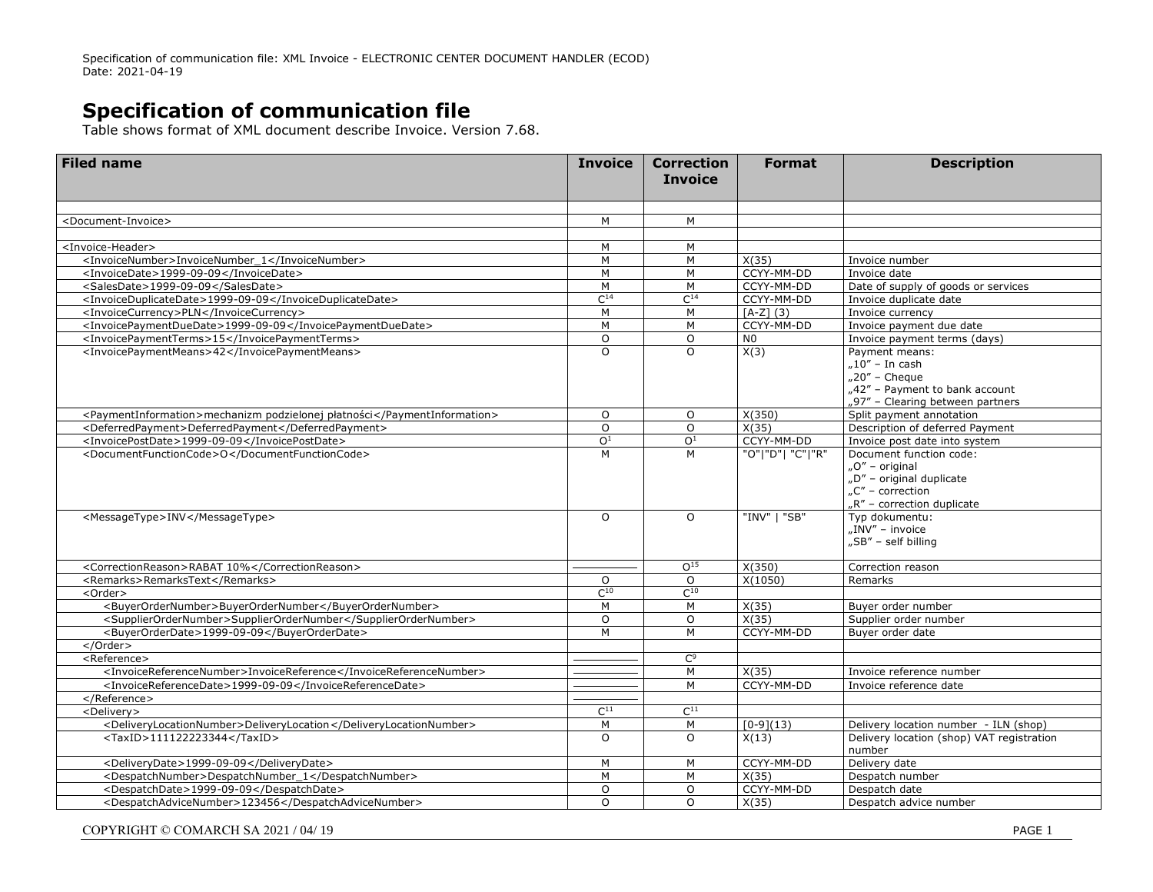Specification of communication file: XML Invoice - ELECTRONIC CENTER DOCUMENT HANDLER (ECOD) Date: 2021-04-19

## **Specification of communication file**

Table shows format of XML document describe Invoice. Version 7.68.

| <b>Filed name</b>                                                        | <b>Invoice</b>  | <b>Correction</b><br><b>Invoice</b> | <b>Format</b>      | <b>Description</b>                                                                                                         |
|--------------------------------------------------------------------------|-----------------|-------------------------------------|--------------------|----------------------------------------------------------------------------------------------------------------------------|
|                                                                          |                 |                                     |                    |                                                                                                                            |
| <document-invoice></document-invoice>                                    | M               | M                                   |                    |                                                                                                                            |
| <invoice-header></invoice-header>                                        | M               | M                                   |                    |                                                                                                                            |
| <invoicenumber>InvoiceNumber 1</invoicenumber>                           | M               | M                                   | X(35)              | Invoice number                                                                                                             |
| <invoicedate>1999-09-09</invoicedate>                                    | M               | M                                   | CCYY-MM-DD         | Invoice date                                                                                                               |
| <salesdate>1999-09-09</salesdate>                                        | M               | M                                   | CCYY-MM-DD         | Date of supply of goods or services                                                                                        |
| <invoiceduplicatedate>1999-09-09</invoiceduplicatedate>                  | C <sup>14</sup> | C <sup>14</sup>                     | CCYY-MM-DD         | Invoice duplicate date                                                                                                     |
| <invoicecurrency>PLN</invoicecurrency>                                   | M               | M                                   | $[A-Z] (3)$        | Invoice currency                                                                                                           |
| <invoicepaymentduedate>1999-09-09</invoicepaymentduedate>                | M               | M                                   | CCYY-MM-DD         | Invoice payment due date                                                                                                   |
| <invoicepaymentterms>15</invoicepaymentterms>                            | $\circ$         | $\circ$                             | N <sub>0</sub>     | Invoice payment terms (days)                                                                                               |
| <invoicepaymentmeans>42</invoicepaymentmeans>                            | $\Omega$        | $\Omega$                            | X(3)               | Payment means:<br>"10″ – In cash<br>$n20''$ - Cheque<br>"42" - Payment to bank account<br>"97" - Clearing between partners |
| <paymentinformation>mechanizm podzielonej płatności</paymentinformation> | $\circ$         | $\circ$                             | X(350)             | Split payment annotation                                                                                                   |
| <deferredpayment>DeferredPayment</deferredpayment>                       | $\circ$         | $\circ$                             | X(35)              | Description of deferred Payment                                                                                            |
| <invoicepostdate>1999-09-09</invoicepostdate>                            | O <sup>1</sup>  | $\overline{O^1}$                    | CCYY-MM-DD         | Invoice post date into system                                                                                              |
| <documentfunctioncode>O</documentfunctioncode>                           | M               | M                                   | "O" "D"  "C" "R"   | Document function code:<br>"O" - original<br>"D" - original duplicate<br>"C" – correction<br>"R" - correction duplicate    |
| <messagetype>INV</messagetype>                                           | $\circ$         | $\Omega$                            | "INV"   "SB"       | Typ dokumentu:<br>"INV" – invoice<br>"SB" - self billing                                                                   |
| <correctionreason>RABAT 10%</correctionreason>                           |                 | O <sup>15</sup>                     | X(350)             | Correction reason                                                                                                          |
| <remarks>RemarksText</remarks>                                           | $\circ$         | $\circ$                             | X(1050)            | Remarks                                                                                                                    |
| <order></order>                                                          | $C^{10}$        | $C^{10}$                            |                    |                                                                                                                            |
| <buyerordernumber>BuyerOrderNumber</buyerordernumber>                    | M               | M                                   | X(35)              | Buyer order number                                                                                                         |
| <supplierordernumber>SupplierOrderNumber</supplierordernumber>           | $\circ$         | $\circ$                             | X(35)              | Supplier order number                                                                                                      |
| <buverorderdate>1999-09-09</buverorderdate>                              | M               | M                                   | CCYY-MM-DD         | Buyer order date                                                                                                           |
| $<$ /Order $>$                                                           |                 |                                     |                    |                                                                                                                            |
| <reference></reference>                                                  |                 | C <sup>9</sup>                      |                    |                                                                                                                            |
| <invoicereferencenumber>InvoiceReference</invoicereferencenumber>        |                 | M                                   | $\overline{X}(35)$ | Invoice reference number                                                                                                   |
| <invoicereferencedate>1999-09-09</invoicereferencedate>                  |                 | M                                   | CCYY-MM-DD         | Invoice reference date                                                                                                     |
| <br><delivery></delivery>                                                | $C^{11}$        | $C^{11}$                            |                    |                                                                                                                            |
| <deliverylocationnumber>DeliveryLocation</deliverylocationnumber>        | M               | M                                   | $\sqrt{[0-9](13)}$ | Delivery location number - ILN (shop)                                                                                      |
| <taxid>111122223344</taxid>                                              | $\circ$         | $\circ$                             | X(13)              | Delivery location (shop) VAT registration<br>number                                                                        |
| <deliverydate>1999-09-09</deliverydate>                                  | M               | M                                   | CCYY-MM-DD         | Delivery date                                                                                                              |
| <despatchnumber>DespatchNumber_1</despatchnumber>                        | M               | M                                   | X(35)              | Despatch number                                                                                                            |
| <despatchdate>1999-09-09</despatchdate>                                  | $\Omega$        | $\Omega$                            | CCYY-MM-DD         | Despatch date                                                                                                              |
| <despatchadvicenumber>123456</despatchadvicenumber>                      | $\Omega$        | $\Omega$                            | X(35)              | Despatch advice number                                                                                                     |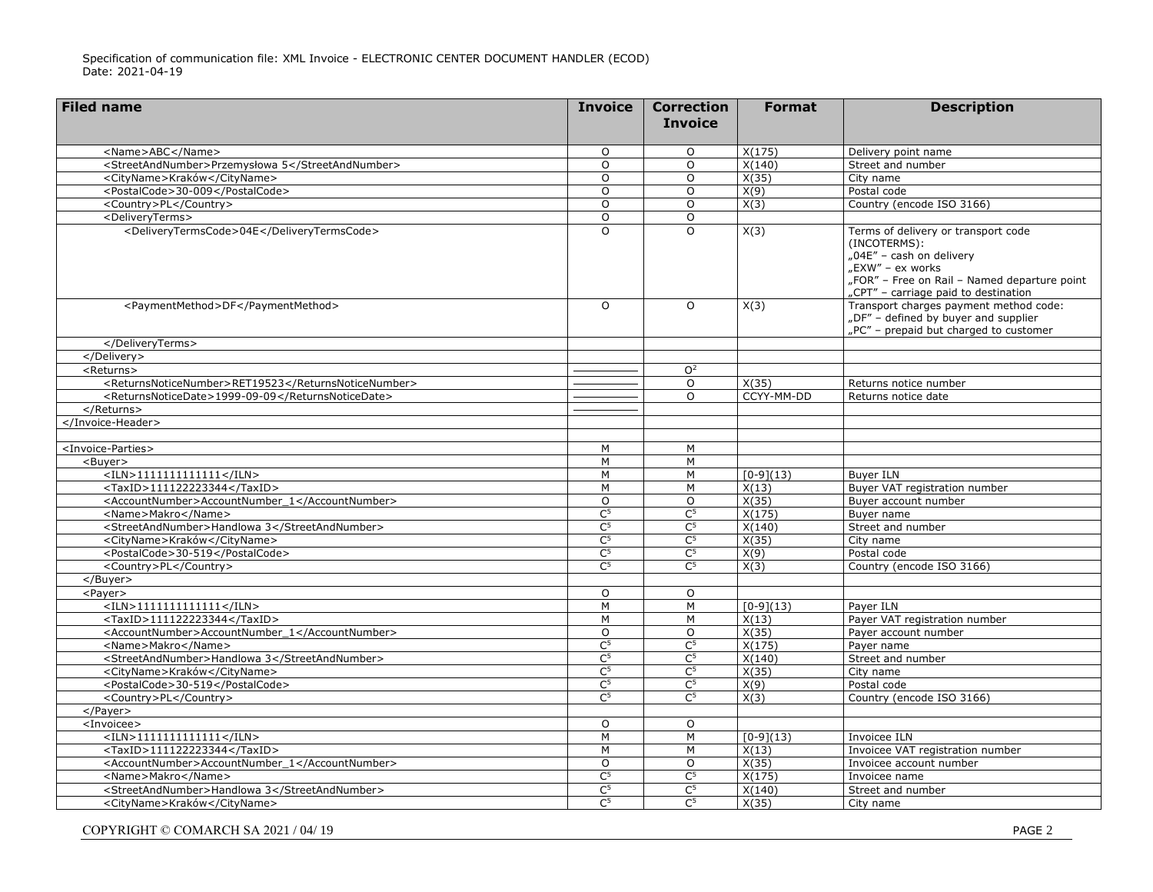| <b>Filed name</b>                                                    | <b>Invoice</b>            | <b>Correction</b><br><b>Invoice</b> | <b>Format</b>  | <b>Description</b>                                                                                                                                                                          |
|----------------------------------------------------------------------|---------------------------|-------------------------------------|----------------|---------------------------------------------------------------------------------------------------------------------------------------------------------------------------------------------|
|                                                                      |                           |                                     |                |                                                                                                                                                                                             |
| <name>ABC</name>                                                     | $\Omega$                  | $\Omega$                            | X(175)         | Delivery point name                                                                                                                                                                         |
| <streetandnumber>Przemysłowa 5</streetandnumber>                     | O                         | $\circ$                             | X(140)         | Street and number                                                                                                                                                                           |
| <cityname>Kraków</cityname>                                          | $\circ$                   | $\circ$                             | X(35)          | City name                                                                                                                                                                                   |
| <postalcode>30-009</postalcode>                                      | $\circ$                   | $\circ$                             | X(9)           | Postal code                                                                                                                                                                                 |
| <country>PL</country>                                                | 0                         | $\circ$                             | X(3)           | Country (encode ISO 3166)                                                                                                                                                                   |
| <deliveryterms></deliveryterms>                                      | O                         | O                                   |                |                                                                                                                                                                                             |
| <deliverytermscode>04E</deliverytermscode>                           | $\Omega$                  | $\overline{O}$                      | X(3)           | Terms of delivery or transport code<br>(INCOTERMS):<br>"04E" - cash on delivery<br>"EXW" – ex works<br>"FOR" - Free on Rail - Named departure point<br>"CPT" - carriage paid to destination |
| <paymentmethod>DF</paymentmethod>                                    | $\circ$                   | $\circ$                             | X(3)           | Transport charges payment method code:<br>"DF" - defined by buyer and supplier<br>"PC" - prepaid but charged to customer                                                                    |
|                                                                      |                           |                                     |                |                                                                                                                                                                                             |
|                                                                      |                           |                                     |                |                                                                                                                                                                                             |
| <returns></returns>                                                  |                           | O <sup>2</sup>                      |                |                                                                                                                                                                                             |
| <returnsnoticenumber>RET19523</returnsnoticenumber>                  |                           | $\circ$                             | X(35)          | Returns notice number                                                                                                                                                                       |
| <returnsnoticedate>1999-09-09</returnsnoticedate>                    |                           | O                                   | CCYY-MM-DD     | Returns notice date                                                                                                                                                                         |
|                                                                      |                           |                                     |                |                                                                                                                                                                                             |
|                                                                      |                           |                                     |                |                                                                                                                                                                                             |
|                                                                      |                           |                                     |                |                                                                                                                                                                                             |
| <invoice-parties></invoice-parties>                                  | M                         | M                                   |                |                                                                                                                                                                                             |
| <buyer></buyer>                                                      | M                         | M                                   |                |                                                                                                                                                                                             |
| $<$ ILN>1111111111111                                                | M                         | M                                   | $[0-9](13)$    | <b>Buver ILN</b><br>Buyer VAT registration number                                                                                                                                           |
| $<$ TaxID>111122223344                                               | M                         | M<br>$\circ$                        | X(13)<br>X(35) |                                                                                                                                                                                             |
| <accountnumber>AccountNumber 1</accountnumber><br><name>Makro</name> | $\circ$<br>C <sup>5</sup> | C <sup>5</sup>                      | X(175)         | Buyer account number<br>Buyer name                                                                                                                                                          |
| <streetandnumber>Handlowa 3</streetandnumber>                        | C <sup>5</sup>            | C <sup>5</sup>                      | X(140)         | Street and number                                                                                                                                                                           |
| <cityname>Kraków</cityname>                                          | C <sup>5</sup>            | C <sup>5</sup>                      | X(35)          | City name                                                                                                                                                                                   |
| <postalcode>30-519</postalcode>                                      | C <sup>5</sup>            | C <sup>5</sup>                      | X(9)           | Postal code                                                                                                                                                                                 |
| <country>PL</country>                                                | C <sub>5</sub>            | C <sup>5</sup>                      | X(3)           | Country (encode ISO 3166)                                                                                                                                                                   |
| $<$ /Buyer>                                                          |                           |                                     |                |                                                                                                                                                                                             |
| <payer></payer>                                                      | O                         | $\circ$                             |                |                                                                                                                                                                                             |
| $<$ ILN>11111111111111                                               | M                         | M                                   | $[0-9](13)$    | Payer ILN                                                                                                                                                                                   |
| <taxid>111122223344</taxid>                                          | M                         | M                                   | X(13)          | Payer VAT registration number                                                                                                                                                               |
| <accountnumber>AccountNumber 1</accountnumber>                       | $\circ$                   | $\circ$                             | X(35)          | Payer account number                                                                                                                                                                        |
| <name>Makro</name>                                                   | C <sup>5</sup>            | C <sup>5</sup>                      | X(175)         | Payer name                                                                                                                                                                                  |
| <streetandnumber>Handlowa 3</streetandnumber>                        | C <sup>5</sup>            | C <sup>5</sup>                      | X(140)         | Street and number                                                                                                                                                                           |
| <cityname>Kraków</cityname>                                          | C <sup>5</sup>            | $\mathsf{C}^5$                      | X(35)          | City name                                                                                                                                                                                   |
| <postalcode>30-519</postalcode>                                      | C <sup>5</sup>            | C <sup>5</sup>                      | X(9)           | Postal code                                                                                                                                                                                 |
| <country>PL</country>                                                | C <sup>5</sup>            | C <sub>5</sub>                      | X(3)           | Country (encode ISO 3166)                                                                                                                                                                   |
|                                                                      |                           |                                     |                |                                                                                                                                                                                             |
| <invoicee></invoicee>                                                | $\Omega$                  | $\circ$                             |                |                                                                                                                                                                                             |
| $<$ ILN>11111111111111                                               | M                         | M                                   | $[0-9](13)$    | Invoicee ILN                                                                                                                                                                                |
| <taxid>111122223344</taxid>                                          | M                         | M                                   | X(13)          | Invoicee VAT registration number                                                                                                                                                            |
| <accountnumber>AccountNumber_1</accountnumber>                       | 0                         | $\circ$                             | X(35)          | Invoicee account number                                                                                                                                                                     |
| <name>Makro</name>                                                   | C <sub>2</sub>            | $\mathsf{C}^5$                      | X(175)         | Invoicee name                                                                                                                                                                               |
| <streetandnumber>Handlowa 3</streetandnumber>                        | C <sup>5</sup>            | C <sup>5</sup>                      | X(140)         | Street and number                                                                                                                                                                           |
| <cityname>Kraków</cityname>                                          | $\overline{C^5}$          | $\overline{C^5}$                    | X(35)          | City name                                                                                                                                                                                   |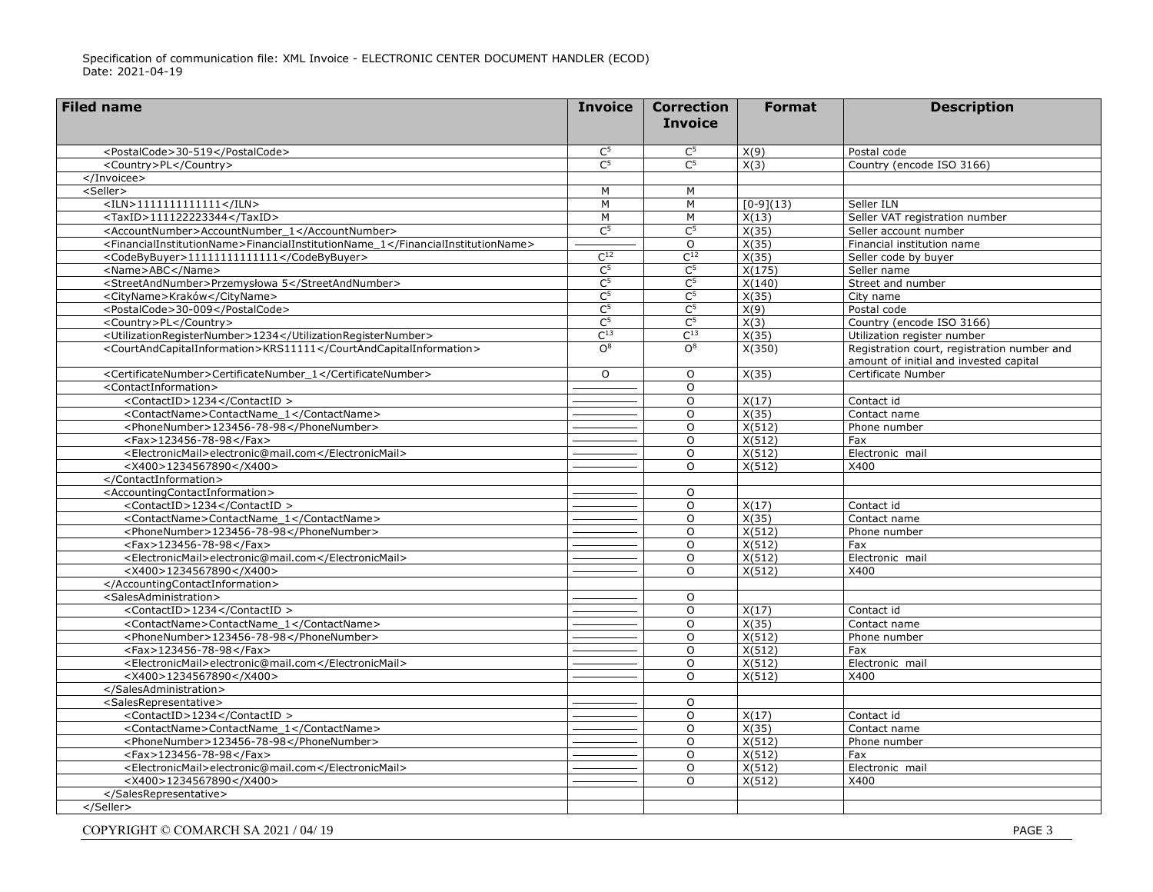| <b>Filed name</b>                                                               | <b>Invoice</b>   | <b>Correction</b>   | <b>Format</b>      | <b>Description</b>                                                                    |
|---------------------------------------------------------------------------------|------------------|---------------------|--------------------|---------------------------------------------------------------------------------------|
|                                                                                 |                  | <b>Invoice</b>      |                    |                                                                                       |
| <postalcode>30-519</postalcode>                                                 | $\mathsf{C}^5$   | $\mathsf{C}^5$      | X(9)               | Postal code                                                                           |
| <country>PL</country>                                                           | $\overline{C^5}$ | $\overline{C^5}$    | X(3)               | Country (encode ISO 3166)                                                             |
|                                                                                 |                  |                     |                    |                                                                                       |
| <seller></seller>                                                               | M                | M                   |                    |                                                                                       |
| $\langle$ ILN>11111111111111                                                    | $\overline{M}$   | M                   | $[0-9](13)$        | Seller ILN                                                                            |
| <taxid>111122223344</taxid>                                                     | M                | M                   | X(13)              | Seller VAT registration number                                                        |
| <accountnumber>AccountNumber_1</accountnumber>                                  | $\overline{C^5}$ | $\overline{C^5}$    | X(35)              | Seller account number                                                                 |
| <financialinstitutionname>FinancialInstitutionName_1</financialinstitutionname> |                  | $\Omega$            | $\overline{X(35)}$ | Financial institution name                                                            |
| <codebybuyer>11111111111111</codebybuyer>                                       | $C^{12}$         | $\overline{C^{12}}$ | X(35)              | Seller code by buyer                                                                  |
| <name>ABC</name>                                                                | C <sub>2</sub>   | C <sub>2</sub>      | X(175)             | Seller name                                                                           |
| <streetandnumber>Przemysłowa 5</streetandnumber>                                | C <sup>5</sup>   | $\overline{C^5}$    | X(140)             | Street and number                                                                     |
| <cityname>Kraków</cityname>                                                     | C <sup>5</sup>   | C <sup>5</sup>      | X(35)              | City name                                                                             |
| <postalcode>30-009</postalcode>                                                 | C <sup>5</sup>   | C <sup>5</sup>      | X(9)               | Postal code                                                                           |
| <country>PL</country>                                                           | C <sup>5</sup>   | C <sup>5</sup>      | X(3)               | Country (encode ISO 3166)                                                             |
| <utilizationregisternumber>1234</utilizationregisternumber>                     | $C^{13}$         | $C^{13}$            | X(35)              | Utilization register number                                                           |
| <courtandcapitalinformation>KRS11111</courtandcapitalinformation>               | O <sup>8</sup>   | O <sup>8</sup>      | X(350)             | Registration court, registration number and<br>amount of initial and invested capital |
| <certificatenumber>CertificateNumber_1</certificatenumber>                      | $\circ$          | $\circ$             | X(35)              | Certificate Number                                                                    |
| <contactinformation></contactinformation>                                       |                  | $\Omega$            |                    |                                                                                       |
| <contactid>1234</contactid>                                                     |                  | $\Omega$            | X(17)              | Contact id                                                                            |
| <contactname>ContactName 1</contactname>                                        |                  | $\circ$             | X(35)              | Contact name                                                                          |
| <phonenumber>123456-78-98</phonenumber>                                         |                  | $\Omega$            | X(512)             | Phone number                                                                          |
| <fax>123456-78-98</fax>                                                         |                  | $\Omega$            | X(512)             | Fax                                                                                   |
| <electronicmail>electronic@mail.com</electronicmail>                            |                  | $\circ$             | X(512)             | Electronic mail                                                                       |
| <x400>1234567890</x400>                                                         |                  | $\Omega$            | X(512)             | X400                                                                                  |
|                                                                                 |                  |                     |                    |                                                                                       |
| <accountingcontactinformation></accountingcontactinformation>                   |                  | $\Omega$            |                    |                                                                                       |
| <contactid>1234</contactid>                                                     |                  | $\mathsf{O}$        | X(17)              | Contact id                                                                            |
| <contactname>ContactName_1</contactname>                                        |                  | $\Omega$            | X(35)              | Contact name                                                                          |
| <phonenumber>123456-78-98</phonenumber>                                         |                  | $\Omega$            | X(512)             | Phone number                                                                          |
| <fax>123456-78-98</fax>                                                         |                  | $\mathsf{O}$        | X(512)             | Fax                                                                                   |
| <electronicmail>electronic@mail.com</electronicmail>                            |                  | $\circ$             | X(512)             | Electronic mail                                                                       |
| <x400>1234567890</x400>                                                         |                  | $\Omega$            | X(512)             | X400                                                                                  |
|                                                                                 |                  |                     |                    |                                                                                       |
| <salesadministration></salesadministration>                                     |                  | $\circ$             |                    |                                                                                       |
| <contactid>1234</contactid>                                                     |                  | $\Omega$            | X(17)              | Contact id                                                                            |
| <contactname>ContactName 1</contactname>                                        |                  | $\Omega$            | X(35)              | Contact name                                                                          |
| <phonenumber>123456-78-98</phonenumber>                                         |                  | $\mathsf{O}$        | X(512)             | Phone number                                                                          |
| <fax>123456-78-98</fax>                                                         |                  | $\circ$             | X(512)             | Fax                                                                                   |
| <electronicmail>electronic@mail.com</electronicmail>                            |                  | $\circ$             | X(512)             | Electronic mail                                                                       |
| <x400>1234567890</x400>                                                         |                  | $\Omega$            | X(512)             | X400                                                                                  |
|                                                                                 |                  |                     |                    |                                                                                       |
| <salesrepresentative></salesrepresentative>                                     |                  | 0                   |                    |                                                                                       |
| <contactid>1234</contactid>                                                     |                  | $\mathsf{O}$        | X(17)              | Contact id                                                                            |
| <contactname>ContactName_1</contactname>                                        |                  | $\mathsf{O}$        | X(35)              | Contact name                                                                          |
| <phonenumber>123456-78-98</phonenumber>                                         |                  | $\circ$             | X(512)             | Phone number                                                                          |
| <fax>123456-78-98</fax>                                                         |                  | $\Omega$            | X(512)             | Fax                                                                                   |
| <electronicmail>electronic@mail.com</electronicmail>                            |                  | $\Omega$            | X(512)             | Electronic mail                                                                       |
| <x400>1234567890</x400>                                                         |                  | $\circ$             | X(512)             | X400                                                                                  |
|                                                                                 |                  |                     |                    |                                                                                       |
|                                                                                 |                  |                     |                    |                                                                                       |
|                                                                                 |                  |                     |                    |                                                                                       |
| COPYRIGHT © COMARCH SA 2021 / 04/19                                             |                  |                     |                    | PAGE 3                                                                                |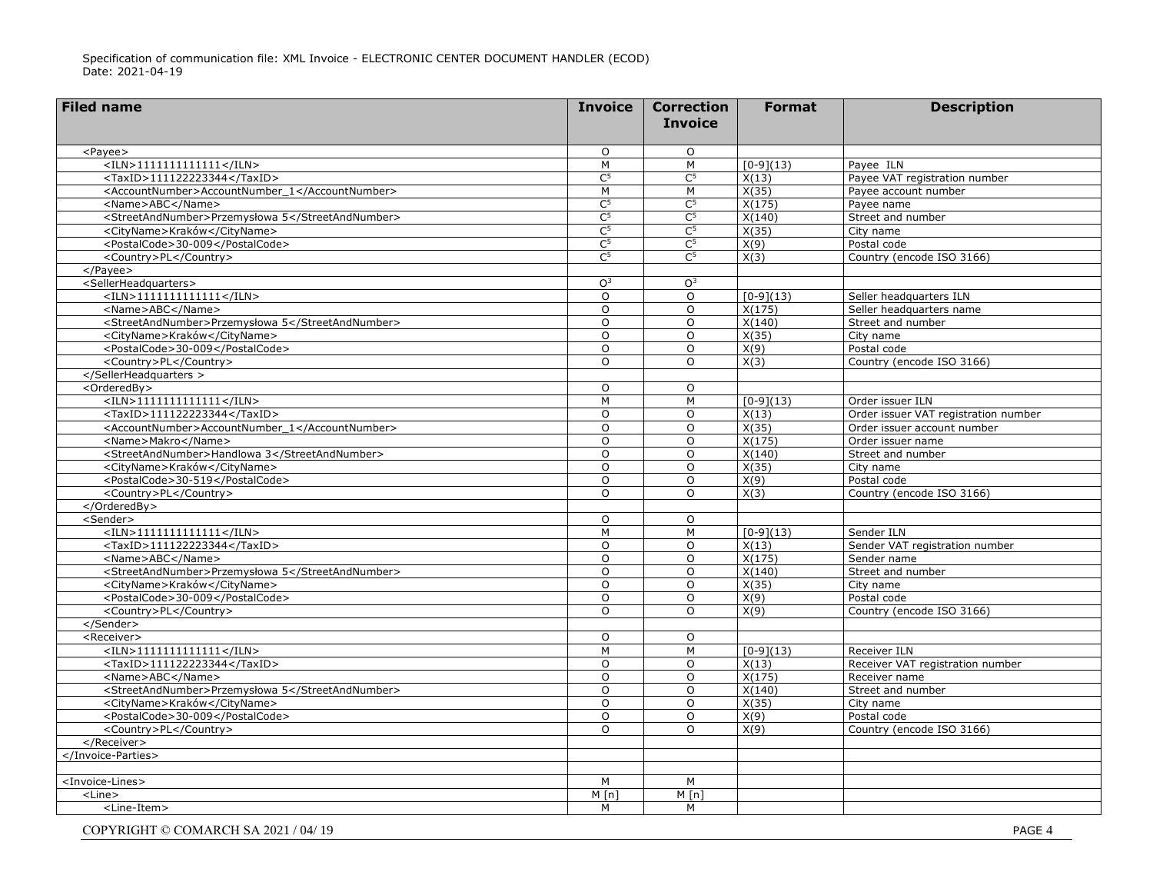| $\Omega$<br><payee><br/>O<br/><math>&lt;</math>ILN&gt;11111111111111<br/>M<br/>M<br/><math>[0-9](13)</math><br/>Payee ILN<br/><taxid>111122223344</taxid><br/>C<sup>5</sup><br/><math>\overline{C^5}</math><br/>X(13)<br/>Payee VAT registration number<br/><accountnumber>AccountNumber_1</accountnumber><br/>M<br/>M<br/>X(35)<br/>Payee account number<br/>C<sup>5</sup><br/><math>\overline{C^5}</math><br/><name>ABC</name><br/>X(175)<br/>Payee name<br/>C<sub>2</sub><br/><streetandnumber>Przemysłowa 5</streetandnumber><br/>C<sup>5</sup><br/>X(140)<br/>Street and number<br/>C<sub>2</sub><br/><math>\overline{C^5}</math><br/><cityname>Kraków</cityname><br/>X(35)<br/>City name<br/><math>\overline{C^5}</math><br/>C<sub>2</sub><br/><postalcode>30-009</postalcode><br/>X(9)<br/>Postal code<br/><math>\overline{C^5}</math><br/>X(3)<br/><country>PL</country><br/>C<sup>5</sup><br/>Country (encode ISO 3166)<br/><math>&lt;</math>/Payee&gt;<br/><sellerheadquarters><br/>O<sup>3</sup><br/>O<sup>3</sup><br/><math>&lt;</math>ILN&gt;11111111111111<br/><math>\circ</math><br/><math>\Omega</math><br/><math>[0-9](13)</math><br/>Seller headquarters ILN<br/><name>ABC</name><br/><math>\circ</math><br/><math>\Omega</math><br/>X(175)<br/>Seller headquarters name<br/><streetandnumber>Przemysłowa 5</streetandnumber><br/>X(140)<br/>Street and number<br/><math>\Omega</math><br/><math>\circ</math><br/>X(35)<br/><cityname>Kraków</cityname><br/><math>\circ</math><br/>O<br/>City name<br/><postalcode>30-009</postalcode><br/><math>\Omega</math><br/><math>\Omega</math><br/>X(9)<br/>Postal code<br/><country>PL</country><br/>X(3)<br/>Country (encode ISO 3166)<br/><math>\Omega</math><br/><math>\Omega</math><br/></sellerheadquarters><br/><orderedby><br/><math>\Omega</math><br/><math>\Omega</math><br/><math>&lt;</math>ILN&gt;1111111111111<br/>M<br/>M<br/><math>[0-9](13)</math><br/>Order issuer ILN<br/><math>&lt;</math>TaxID&gt;111122223344<br/>Order issuer VAT registration number<br/><math>\Omega</math><br/><math>\Omega</math><br/>X(13)<br/><accountnumber>AccountNumber_1</accountnumber><br/>X(35)<br/><math>\Omega</math><br/>Order issuer account number<br/><math>\Omega</math><br/>X(175)<br/><name>Makro</name><br/><math>\Omega</math><br/><math>\Omega</math><br/>Order issuer name<br/><streetandnumber>Handlowa 3</streetandnumber><br/>X(140)<br/><math>\Omega</math><br/><math>\Omega</math><br/>Street and number<br/><cityname>Kraków</cityname><br/>X(35)<br/><math>\Omega</math><br/><math>\Omega</math><br/>City name<br/>X(9)<br/>Postal code<br/><postalcode>30-519</postalcode><br/><math>\Omega</math><br/><math>\Omega</math><br/>X(3)<br/>Country (encode ISO 3166)<br/><country>PL</country><br/><math>\Omega</math><br/><math>\Omega</math><br/></orderedby><br/><sender><br/><math>\Omega</math><br/><math>\Omega</math><br/><math>&lt;</math>ILN&gt;1111111111111<br/><math>[0-9](13)</math><br/>M<br/>M<br/>Sender ILN<br/><math>&lt;</math>TaxID&gt;111122223344<br/><math>\circ</math><br/>X(13)<br/>Sender VAT registration number<br/><math>\Omega</math><br/><name>ABC</name><br/><math>\Omega</math><br/>X(175)<br/><math>\circ</math><br/>Sender name<br/><streetandnumber>Przemysłowa 5</streetandnumber><br/>X(140)<br/>Street and number<br/><math>\Omega</math><br/><math>\mathsf{O}</math><br/><cityname>Kraków</cityname><br/><math>\circ</math><br/><math>\mathsf{O}</math><br/>X(35)<br/>City name<br/><postalcode>30-009</postalcode><br/><math>\overline{0}</math><br/><math>\overline{0}</math><br/>X(9)<br/>Postal code<br/><country>PL</country><br/>X(9)<br/>Country (encode ISO 3166)<br/><math>\Omega</math><br/><math>\Omega</math><br/></sender><br/><receiver><br/><math>\circ</math><br/>O<br/><math>&lt;</math>ILN&gt;11111111111111<br/><math>[0-9](13)</math><br/>Receiver ILN<br/>M<br/>M<br/><taxid>111122223344</taxid><br/><math>\overline{0}</math><br/><math>\overline{0}</math><br/>Receiver VAT registration number<br/>X(13)<br/><name>ABC</name><br/><math>\circ</math><br/><math>\mathsf{O}</math><br/>X(175)<br/>Receiver name<br/><streetandnumber>Przemysłowa 5</streetandnumber><br/><math>\overline{0}</math><br/>X(140)<br/>Street and number<br/><math>\circ</math><br/>X(35)<br/><cityname>Kraków</cityname><br/><math>\Omega</math><br/><math>\Omega</math><br/>City name<br/><postalcode>30-009</postalcode><br/><math>\circ</math><br/><math>\mathsf{O}</math><br/>X(9)<br/>Postal code<br/><country>PL</country><br/><math>\Omega</math><br/>X(9)<br/>Country (encode ISO 3166)<br/><math>\Omega</math><br/></receiver><br/><br/><invoice-lines><br/>M<br/>M<br/>M[n]<br/><line><br/><math>M \nightharpoonup n</math><br/>M<br/>M<br/><line-item></line-item></line></invoice-lines></payee> | <b>Filed name</b> | <b>Invoice</b> | <b>Correction</b> | <b>Format</b> | <b>Description</b> |
|-----------------------------------------------------------------------------------------------------------------------------------------------------------------------------------------------------------------------------------------------------------------------------------------------------------------------------------------------------------------------------------------------------------------------------------------------------------------------------------------------------------------------------------------------------------------------------------------------------------------------------------------------------------------------------------------------------------------------------------------------------------------------------------------------------------------------------------------------------------------------------------------------------------------------------------------------------------------------------------------------------------------------------------------------------------------------------------------------------------------------------------------------------------------------------------------------------------------------------------------------------------------------------------------------------------------------------------------------------------------------------------------------------------------------------------------------------------------------------------------------------------------------------------------------------------------------------------------------------------------------------------------------------------------------------------------------------------------------------------------------------------------------------------------------------------------------------------------------------------------------------------------------------------------------------------------------------------------------------------------------------------------------------------------------------------------------------------------------------------------------------------------------------------------------------------------------------------------------------------------------------------------------------------------------------------------------------------------------------------------------------------------------------------------------------------------------------------------------------------------------------------------------------------------------------------------------------------------------------------------------------------------------------------------------------------------------------------------------------------------------------------------------------------------------------------------------------------------------------------------------------------------------------------------------------------------------------------------------------------------------------------------------------------------------------------------------------------------------------------------------------------------------------------------------------------------------------------------------------------------------------------------------------------------------------------------------------------------------------------------------------------------------------------------------------------------------------------------------------------------------------------------------------------------------------------------------------------------------------------------------------------------------------------------------------------------------------------------------------------------------------------------------------------------------------------------------------------------------------------------------------------------------------------------------------------------------------------------------------------------------------------------------------------------------------------------------------------------------------------------------------------------------------------------------------------------------------------------------------------------------------------------------------------------------------------------------------------------------------------------------------------------------------------------------------------------------------------------------------------------------------------------------------------------------------------------------------------------------------------------------------------------------------------------------------------------------------------------------------------------------------------------------------------------------------------------------------------------|-------------------|----------------|-------------------|---------------|--------------------|
|                                                                                                                                                                                                                                                                                                                                                                                                                                                                                                                                                                                                                                                                                                                                                                                                                                                                                                                                                                                                                                                                                                                                                                                                                                                                                                                                                                                                                                                                                                                                                                                                                                                                                                                                                                                                                                                                                                                                                                                                                                                                                                                                                                                                                                                                                                                                                                                                                                                                                                                                                                                                                                                                                                                                                                                                                                                                                                                                                                                                                                                                                                                                                                                                                                                                                                                                                                                                                                                                                                                                                                                                                                                                                                                                                                                                                                                                                                                                                                                                                                                                                                                                                                                                                                                                                                                                                                                                                                                                                                                                                                                                                                                                                                                                                                                                                                         |                   |                | <b>Invoice</b>    |               |                    |
|                                                                                                                                                                                                                                                                                                                                                                                                                                                                                                                                                                                                                                                                                                                                                                                                                                                                                                                                                                                                                                                                                                                                                                                                                                                                                                                                                                                                                                                                                                                                                                                                                                                                                                                                                                                                                                                                                                                                                                                                                                                                                                                                                                                                                                                                                                                                                                                                                                                                                                                                                                                                                                                                                                                                                                                                                                                                                                                                                                                                                                                                                                                                                                                                                                                                                                                                                                                                                                                                                                                                                                                                                                                                                                                                                                                                                                                                                                                                                                                                                                                                                                                                                                                                                                                                                                                                                                                                                                                                                                                                                                                                                                                                                                                                                                                                                                         |                   |                |                   |               |                    |
|                                                                                                                                                                                                                                                                                                                                                                                                                                                                                                                                                                                                                                                                                                                                                                                                                                                                                                                                                                                                                                                                                                                                                                                                                                                                                                                                                                                                                                                                                                                                                                                                                                                                                                                                                                                                                                                                                                                                                                                                                                                                                                                                                                                                                                                                                                                                                                                                                                                                                                                                                                                                                                                                                                                                                                                                                                                                                                                                                                                                                                                                                                                                                                                                                                                                                                                                                                                                                                                                                                                                                                                                                                                                                                                                                                                                                                                                                                                                                                                                                                                                                                                                                                                                                                                                                                                                                                                                                                                                                                                                                                                                                                                                                                                                                                                                                                         |                   |                |                   |               |                    |
|                                                                                                                                                                                                                                                                                                                                                                                                                                                                                                                                                                                                                                                                                                                                                                                                                                                                                                                                                                                                                                                                                                                                                                                                                                                                                                                                                                                                                                                                                                                                                                                                                                                                                                                                                                                                                                                                                                                                                                                                                                                                                                                                                                                                                                                                                                                                                                                                                                                                                                                                                                                                                                                                                                                                                                                                                                                                                                                                                                                                                                                                                                                                                                                                                                                                                                                                                                                                                                                                                                                                                                                                                                                                                                                                                                                                                                                                                                                                                                                                                                                                                                                                                                                                                                                                                                                                                                                                                                                                                                                                                                                                                                                                                                                                                                                                                                         |                   |                |                   |               |                    |
|                                                                                                                                                                                                                                                                                                                                                                                                                                                                                                                                                                                                                                                                                                                                                                                                                                                                                                                                                                                                                                                                                                                                                                                                                                                                                                                                                                                                                                                                                                                                                                                                                                                                                                                                                                                                                                                                                                                                                                                                                                                                                                                                                                                                                                                                                                                                                                                                                                                                                                                                                                                                                                                                                                                                                                                                                                                                                                                                                                                                                                                                                                                                                                                                                                                                                                                                                                                                                                                                                                                                                                                                                                                                                                                                                                                                                                                                                                                                                                                                                                                                                                                                                                                                                                                                                                                                                                                                                                                                                                                                                                                                                                                                                                                                                                                                                                         |                   |                |                   |               |                    |
|                                                                                                                                                                                                                                                                                                                                                                                                                                                                                                                                                                                                                                                                                                                                                                                                                                                                                                                                                                                                                                                                                                                                                                                                                                                                                                                                                                                                                                                                                                                                                                                                                                                                                                                                                                                                                                                                                                                                                                                                                                                                                                                                                                                                                                                                                                                                                                                                                                                                                                                                                                                                                                                                                                                                                                                                                                                                                                                                                                                                                                                                                                                                                                                                                                                                                                                                                                                                                                                                                                                                                                                                                                                                                                                                                                                                                                                                                                                                                                                                                                                                                                                                                                                                                                                                                                                                                                                                                                                                                                                                                                                                                                                                                                                                                                                                                                         |                   |                |                   |               |                    |
|                                                                                                                                                                                                                                                                                                                                                                                                                                                                                                                                                                                                                                                                                                                                                                                                                                                                                                                                                                                                                                                                                                                                                                                                                                                                                                                                                                                                                                                                                                                                                                                                                                                                                                                                                                                                                                                                                                                                                                                                                                                                                                                                                                                                                                                                                                                                                                                                                                                                                                                                                                                                                                                                                                                                                                                                                                                                                                                                                                                                                                                                                                                                                                                                                                                                                                                                                                                                                                                                                                                                                                                                                                                                                                                                                                                                                                                                                                                                                                                                                                                                                                                                                                                                                                                                                                                                                                                                                                                                                                                                                                                                                                                                                                                                                                                                                                         |                   |                |                   |               |                    |
|                                                                                                                                                                                                                                                                                                                                                                                                                                                                                                                                                                                                                                                                                                                                                                                                                                                                                                                                                                                                                                                                                                                                                                                                                                                                                                                                                                                                                                                                                                                                                                                                                                                                                                                                                                                                                                                                                                                                                                                                                                                                                                                                                                                                                                                                                                                                                                                                                                                                                                                                                                                                                                                                                                                                                                                                                                                                                                                                                                                                                                                                                                                                                                                                                                                                                                                                                                                                                                                                                                                                                                                                                                                                                                                                                                                                                                                                                                                                                                                                                                                                                                                                                                                                                                                                                                                                                                                                                                                                                                                                                                                                                                                                                                                                                                                                                                         |                   |                |                   |               |                    |
|                                                                                                                                                                                                                                                                                                                                                                                                                                                                                                                                                                                                                                                                                                                                                                                                                                                                                                                                                                                                                                                                                                                                                                                                                                                                                                                                                                                                                                                                                                                                                                                                                                                                                                                                                                                                                                                                                                                                                                                                                                                                                                                                                                                                                                                                                                                                                                                                                                                                                                                                                                                                                                                                                                                                                                                                                                                                                                                                                                                                                                                                                                                                                                                                                                                                                                                                                                                                                                                                                                                                                                                                                                                                                                                                                                                                                                                                                                                                                                                                                                                                                                                                                                                                                                                                                                                                                                                                                                                                                                                                                                                                                                                                                                                                                                                                                                         |                   |                |                   |               |                    |
|                                                                                                                                                                                                                                                                                                                                                                                                                                                                                                                                                                                                                                                                                                                                                                                                                                                                                                                                                                                                                                                                                                                                                                                                                                                                                                                                                                                                                                                                                                                                                                                                                                                                                                                                                                                                                                                                                                                                                                                                                                                                                                                                                                                                                                                                                                                                                                                                                                                                                                                                                                                                                                                                                                                                                                                                                                                                                                                                                                                                                                                                                                                                                                                                                                                                                                                                                                                                                                                                                                                                                                                                                                                                                                                                                                                                                                                                                                                                                                                                                                                                                                                                                                                                                                                                                                                                                                                                                                                                                                                                                                                                                                                                                                                                                                                                                                         |                   |                |                   |               |                    |
|                                                                                                                                                                                                                                                                                                                                                                                                                                                                                                                                                                                                                                                                                                                                                                                                                                                                                                                                                                                                                                                                                                                                                                                                                                                                                                                                                                                                                                                                                                                                                                                                                                                                                                                                                                                                                                                                                                                                                                                                                                                                                                                                                                                                                                                                                                                                                                                                                                                                                                                                                                                                                                                                                                                                                                                                                                                                                                                                                                                                                                                                                                                                                                                                                                                                                                                                                                                                                                                                                                                                                                                                                                                                                                                                                                                                                                                                                                                                                                                                                                                                                                                                                                                                                                                                                                                                                                                                                                                                                                                                                                                                                                                                                                                                                                                                                                         |                   |                |                   |               |                    |
|                                                                                                                                                                                                                                                                                                                                                                                                                                                                                                                                                                                                                                                                                                                                                                                                                                                                                                                                                                                                                                                                                                                                                                                                                                                                                                                                                                                                                                                                                                                                                                                                                                                                                                                                                                                                                                                                                                                                                                                                                                                                                                                                                                                                                                                                                                                                                                                                                                                                                                                                                                                                                                                                                                                                                                                                                                                                                                                                                                                                                                                                                                                                                                                                                                                                                                                                                                                                                                                                                                                                                                                                                                                                                                                                                                                                                                                                                                                                                                                                                                                                                                                                                                                                                                                                                                                                                                                                                                                                                                                                                                                                                                                                                                                                                                                                                                         |                   |                |                   |               |                    |
|                                                                                                                                                                                                                                                                                                                                                                                                                                                                                                                                                                                                                                                                                                                                                                                                                                                                                                                                                                                                                                                                                                                                                                                                                                                                                                                                                                                                                                                                                                                                                                                                                                                                                                                                                                                                                                                                                                                                                                                                                                                                                                                                                                                                                                                                                                                                                                                                                                                                                                                                                                                                                                                                                                                                                                                                                                                                                                                                                                                                                                                                                                                                                                                                                                                                                                                                                                                                                                                                                                                                                                                                                                                                                                                                                                                                                                                                                                                                                                                                                                                                                                                                                                                                                                                                                                                                                                                                                                                                                                                                                                                                                                                                                                                                                                                                                                         |                   |                |                   |               |                    |
|                                                                                                                                                                                                                                                                                                                                                                                                                                                                                                                                                                                                                                                                                                                                                                                                                                                                                                                                                                                                                                                                                                                                                                                                                                                                                                                                                                                                                                                                                                                                                                                                                                                                                                                                                                                                                                                                                                                                                                                                                                                                                                                                                                                                                                                                                                                                                                                                                                                                                                                                                                                                                                                                                                                                                                                                                                                                                                                                                                                                                                                                                                                                                                                                                                                                                                                                                                                                                                                                                                                                                                                                                                                                                                                                                                                                                                                                                                                                                                                                                                                                                                                                                                                                                                                                                                                                                                                                                                                                                                                                                                                                                                                                                                                                                                                                                                         |                   |                |                   |               |                    |
|                                                                                                                                                                                                                                                                                                                                                                                                                                                                                                                                                                                                                                                                                                                                                                                                                                                                                                                                                                                                                                                                                                                                                                                                                                                                                                                                                                                                                                                                                                                                                                                                                                                                                                                                                                                                                                                                                                                                                                                                                                                                                                                                                                                                                                                                                                                                                                                                                                                                                                                                                                                                                                                                                                                                                                                                                                                                                                                                                                                                                                                                                                                                                                                                                                                                                                                                                                                                                                                                                                                                                                                                                                                                                                                                                                                                                                                                                                                                                                                                                                                                                                                                                                                                                                                                                                                                                                                                                                                                                                                                                                                                                                                                                                                                                                                                                                         |                   |                |                   |               |                    |
|                                                                                                                                                                                                                                                                                                                                                                                                                                                                                                                                                                                                                                                                                                                                                                                                                                                                                                                                                                                                                                                                                                                                                                                                                                                                                                                                                                                                                                                                                                                                                                                                                                                                                                                                                                                                                                                                                                                                                                                                                                                                                                                                                                                                                                                                                                                                                                                                                                                                                                                                                                                                                                                                                                                                                                                                                                                                                                                                                                                                                                                                                                                                                                                                                                                                                                                                                                                                                                                                                                                                                                                                                                                                                                                                                                                                                                                                                                                                                                                                                                                                                                                                                                                                                                                                                                                                                                                                                                                                                                                                                                                                                                                                                                                                                                                                                                         |                   |                |                   |               |                    |
|                                                                                                                                                                                                                                                                                                                                                                                                                                                                                                                                                                                                                                                                                                                                                                                                                                                                                                                                                                                                                                                                                                                                                                                                                                                                                                                                                                                                                                                                                                                                                                                                                                                                                                                                                                                                                                                                                                                                                                                                                                                                                                                                                                                                                                                                                                                                                                                                                                                                                                                                                                                                                                                                                                                                                                                                                                                                                                                                                                                                                                                                                                                                                                                                                                                                                                                                                                                                                                                                                                                                                                                                                                                                                                                                                                                                                                                                                                                                                                                                                                                                                                                                                                                                                                                                                                                                                                                                                                                                                                                                                                                                                                                                                                                                                                                                                                         |                   |                |                   |               |                    |
|                                                                                                                                                                                                                                                                                                                                                                                                                                                                                                                                                                                                                                                                                                                                                                                                                                                                                                                                                                                                                                                                                                                                                                                                                                                                                                                                                                                                                                                                                                                                                                                                                                                                                                                                                                                                                                                                                                                                                                                                                                                                                                                                                                                                                                                                                                                                                                                                                                                                                                                                                                                                                                                                                                                                                                                                                                                                                                                                                                                                                                                                                                                                                                                                                                                                                                                                                                                                                                                                                                                                                                                                                                                                                                                                                                                                                                                                                                                                                                                                                                                                                                                                                                                                                                                                                                                                                                                                                                                                                                                                                                                                                                                                                                                                                                                                                                         |                   |                |                   |               |                    |
|                                                                                                                                                                                                                                                                                                                                                                                                                                                                                                                                                                                                                                                                                                                                                                                                                                                                                                                                                                                                                                                                                                                                                                                                                                                                                                                                                                                                                                                                                                                                                                                                                                                                                                                                                                                                                                                                                                                                                                                                                                                                                                                                                                                                                                                                                                                                                                                                                                                                                                                                                                                                                                                                                                                                                                                                                                                                                                                                                                                                                                                                                                                                                                                                                                                                                                                                                                                                                                                                                                                                                                                                                                                                                                                                                                                                                                                                                                                                                                                                                                                                                                                                                                                                                                                                                                                                                                                                                                                                                                                                                                                                                                                                                                                                                                                                                                         |                   |                |                   |               |                    |
|                                                                                                                                                                                                                                                                                                                                                                                                                                                                                                                                                                                                                                                                                                                                                                                                                                                                                                                                                                                                                                                                                                                                                                                                                                                                                                                                                                                                                                                                                                                                                                                                                                                                                                                                                                                                                                                                                                                                                                                                                                                                                                                                                                                                                                                                                                                                                                                                                                                                                                                                                                                                                                                                                                                                                                                                                                                                                                                                                                                                                                                                                                                                                                                                                                                                                                                                                                                                                                                                                                                                                                                                                                                                                                                                                                                                                                                                                                                                                                                                                                                                                                                                                                                                                                                                                                                                                                                                                                                                                                                                                                                                                                                                                                                                                                                                                                         |                   |                |                   |               |                    |
|                                                                                                                                                                                                                                                                                                                                                                                                                                                                                                                                                                                                                                                                                                                                                                                                                                                                                                                                                                                                                                                                                                                                                                                                                                                                                                                                                                                                                                                                                                                                                                                                                                                                                                                                                                                                                                                                                                                                                                                                                                                                                                                                                                                                                                                                                                                                                                                                                                                                                                                                                                                                                                                                                                                                                                                                                                                                                                                                                                                                                                                                                                                                                                                                                                                                                                                                                                                                                                                                                                                                                                                                                                                                                                                                                                                                                                                                                                                                                                                                                                                                                                                                                                                                                                                                                                                                                                                                                                                                                                                                                                                                                                                                                                                                                                                                                                         |                   |                |                   |               |                    |
|                                                                                                                                                                                                                                                                                                                                                                                                                                                                                                                                                                                                                                                                                                                                                                                                                                                                                                                                                                                                                                                                                                                                                                                                                                                                                                                                                                                                                                                                                                                                                                                                                                                                                                                                                                                                                                                                                                                                                                                                                                                                                                                                                                                                                                                                                                                                                                                                                                                                                                                                                                                                                                                                                                                                                                                                                                                                                                                                                                                                                                                                                                                                                                                                                                                                                                                                                                                                                                                                                                                                                                                                                                                                                                                                                                                                                                                                                                                                                                                                                                                                                                                                                                                                                                                                                                                                                                                                                                                                                                                                                                                                                                                                                                                                                                                                                                         |                   |                |                   |               |                    |
|                                                                                                                                                                                                                                                                                                                                                                                                                                                                                                                                                                                                                                                                                                                                                                                                                                                                                                                                                                                                                                                                                                                                                                                                                                                                                                                                                                                                                                                                                                                                                                                                                                                                                                                                                                                                                                                                                                                                                                                                                                                                                                                                                                                                                                                                                                                                                                                                                                                                                                                                                                                                                                                                                                                                                                                                                                                                                                                                                                                                                                                                                                                                                                                                                                                                                                                                                                                                                                                                                                                                                                                                                                                                                                                                                                                                                                                                                                                                                                                                                                                                                                                                                                                                                                                                                                                                                                                                                                                                                                                                                                                                                                                                                                                                                                                                                                         |                   |                |                   |               |                    |
|                                                                                                                                                                                                                                                                                                                                                                                                                                                                                                                                                                                                                                                                                                                                                                                                                                                                                                                                                                                                                                                                                                                                                                                                                                                                                                                                                                                                                                                                                                                                                                                                                                                                                                                                                                                                                                                                                                                                                                                                                                                                                                                                                                                                                                                                                                                                                                                                                                                                                                                                                                                                                                                                                                                                                                                                                                                                                                                                                                                                                                                                                                                                                                                                                                                                                                                                                                                                                                                                                                                                                                                                                                                                                                                                                                                                                                                                                                                                                                                                                                                                                                                                                                                                                                                                                                                                                                                                                                                                                                                                                                                                                                                                                                                                                                                                                                         |                   |                |                   |               |                    |
|                                                                                                                                                                                                                                                                                                                                                                                                                                                                                                                                                                                                                                                                                                                                                                                                                                                                                                                                                                                                                                                                                                                                                                                                                                                                                                                                                                                                                                                                                                                                                                                                                                                                                                                                                                                                                                                                                                                                                                                                                                                                                                                                                                                                                                                                                                                                                                                                                                                                                                                                                                                                                                                                                                                                                                                                                                                                                                                                                                                                                                                                                                                                                                                                                                                                                                                                                                                                                                                                                                                                                                                                                                                                                                                                                                                                                                                                                                                                                                                                                                                                                                                                                                                                                                                                                                                                                                                                                                                                                                                                                                                                                                                                                                                                                                                                                                         |                   |                |                   |               |                    |
|                                                                                                                                                                                                                                                                                                                                                                                                                                                                                                                                                                                                                                                                                                                                                                                                                                                                                                                                                                                                                                                                                                                                                                                                                                                                                                                                                                                                                                                                                                                                                                                                                                                                                                                                                                                                                                                                                                                                                                                                                                                                                                                                                                                                                                                                                                                                                                                                                                                                                                                                                                                                                                                                                                                                                                                                                                                                                                                                                                                                                                                                                                                                                                                                                                                                                                                                                                                                                                                                                                                                                                                                                                                                                                                                                                                                                                                                                                                                                                                                                                                                                                                                                                                                                                                                                                                                                                                                                                                                                                                                                                                                                                                                                                                                                                                                                                         |                   |                |                   |               |                    |
|                                                                                                                                                                                                                                                                                                                                                                                                                                                                                                                                                                                                                                                                                                                                                                                                                                                                                                                                                                                                                                                                                                                                                                                                                                                                                                                                                                                                                                                                                                                                                                                                                                                                                                                                                                                                                                                                                                                                                                                                                                                                                                                                                                                                                                                                                                                                                                                                                                                                                                                                                                                                                                                                                                                                                                                                                                                                                                                                                                                                                                                                                                                                                                                                                                                                                                                                                                                                                                                                                                                                                                                                                                                                                                                                                                                                                                                                                                                                                                                                                                                                                                                                                                                                                                                                                                                                                                                                                                                                                                                                                                                                                                                                                                                                                                                                                                         |                   |                |                   |               |                    |
|                                                                                                                                                                                                                                                                                                                                                                                                                                                                                                                                                                                                                                                                                                                                                                                                                                                                                                                                                                                                                                                                                                                                                                                                                                                                                                                                                                                                                                                                                                                                                                                                                                                                                                                                                                                                                                                                                                                                                                                                                                                                                                                                                                                                                                                                                                                                                                                                                                                                                                                                                                                                                                                                                                                                                                                                                                                                                                                                                                                                                                                                                                                                                                                                                                                                                                                                                                                                                                                                                                                                                                                                                                                                                                                                                                                                                                                                                                                                                                                                                                                                                                                                                                                                                                                                                                                                                                                                                                                                                                                                                                                                                                                                                                                                                                                                                                         |                   |                |                   |               |                    |
|                                                                                                                                                                                                                                                                                                                                                                                                                                                                                                                                                                                                                                                                                                                                                                                                                                                                                                                                                                                                                                                                                                                                                                                                                                                                                                                                                                                                                                                                                                                                                                                                                                                                                                                                                                                                                                                                                                                                                                                                                                                                                                                                                                                                                                                                                                                                                                                                                                                                                                                                                                                                                                                                                                                                                                                                                                                                                                                                                                                                                                                                                                                                                                                                                                                                                                                                                                                                                                                                                                                                                                                                                                                                                                                                                                                                                                                                                                                                                                                                                                                                                                                                                                                                                                                                                                                                                                                                                                                                                                                                                                                                                                                                                                                                                                                                                                         |                   |                |                   |               |                    |
|                                                                                                                                                                                                                                                                                                                                                                                                                                                                                                                                                                                                                                                                                                                                                                                                                                                                                                                                                                                                                                                                                                                                                                                                                                                                                                                                                                                                                                                                                                                                                                                                                                                                                                                                                                                                                                                                                                                                                                                                                                                                                                                                                                                                                                                                                                                                                                                                                                                                                                                                                                                                                                                                                                                                                                                                                                                                                                                                                                                                                                                                                                                                                                                                                                                                                                                                                                                                                                                                                                                                                                                                                                                                                                                                                                                                                                                                                                                                                                                                                                                                                                                                                                                                                                                                                                                                                                                                                                                                                                                                                                                                                                                                                                                                                                                                                                         |                   |                |                   |               |                    |
|                                                                                                                                                                                                                                                                                                                                                                                                                                                                                                                                                                                                                                                                                                                                                                                                                                                                                                                                                                                                                                                                                                                                                                                                                                                                                                                                                                                                                                                                                                                                                                                                                                                                                                                                                                                                                                                                                                                                                                                                                                                                                                                                                                                                                                                                                                                                                                                                                                                                                                                                                                                                                                                                                                                                                                                                                                                                                                                                                                                                                                                                                                                                                                                                                                                                                                                                                                                                                                                                                                                                                                                                                                                                                                                                                                                                                                                                                                                                                                                                                                                                                                                                                                                                                                                                                                                                                                                                                                                                                                                                                                                                                                                                                                                                                                                                                                         |                   |                |                   |               |                    |
|                                                                                                                                                                                                                                                                                                                                                                                                                                                                                                                                                                                                                                                                                                                                                                                                                                                                                                                                                                                                                                                                                                                                                                                                                                                                                                                                                                                                                                                                                                                                                                                                                                                                                                                                                                                                                                                                                                                                                                                                                                                                                                                                                                                                                                                                                                                                                                                                                                                                                                                                                                                                                                                                                                                                                                                                                                                                                                                                                                                                                                                                                                                                                                                                                                                                                                                                                                                                                                                                                                                                                                                                                                                                                                                                                                                                                                                                                                                                                                                                                                                                                                                                                                                                                                                                                                                                                                                                                                                                                                                                                                                                                                                                                                                                                                                                                                         |                   |                |                   |               |                    |
|                                                                                                                                                                                                                                                                                                                                                                                                                                                                                                                                                                                                                                                                                                                                                                                                                                                                                                                                                                                                                                                                                                                                                                                                                                                                                                                                                                                                                                                                                                                                                                                                                                                                                                                                                                                                                                                                                                                                                                                                                                                                                                                                                                                                                                                                                                                                                                                                                                                                                                                                                                                                                                                                                                                                                                                                                                                                                                                                                                                                                                                                                                                                                                                                                                                                                                                                                                                                                                                                                                                                                                                                                                                                                                                                                                                                                                                                                                                                                                                                                                                                                                                                                                                                                                                                                                                                                                                                                                                                                                                                                                                                                                                                                                                                                                                                                                         |                   |                |                   |               |                    |
|                                                                                                                                                                                                                                                                                                                                                                                                                                                                                                                                                                                                                                                                                                                                                                                                                                                                                                                                                                                                                                                                                                                                                                                                                                                                                                                                                                                                                                                                                                                                                                                                                                                                                                                                                                                                                                                                                                                                                                                                                                                                                                                                                                                                                                                                                                                                                                                                                                                                                                                                                                                                                                                                                                                                                                                                                                                                                                                                                                                                                                                                                                                                                                                                                                                                                                                                                                                                                                                                                                                                                                                                                                                                                                                                                                                                                                                                                                                                                                                                                                                                                                                                                                                                                                                                                                                                                                                                                                                                                                                                                                                                                                                                                                                                                                                                                                         |                   |                |                   |               |                    |
|                                                                                                                                                                                                                                                                                                                                                                                                                                                                                                                                                                                                                                                                                                                                                                                                                                                                                                                                                                                                                                                                                                                                                                                                                                                                                                                                                                                                                                                                                                                                                                                                                                                                                                                                                                                                                                                                                                                                                                                                                                                                                                                                                                                                                                                                                                                                                                                                                                                                                                                                                                                                                                                                                                                                                                                                                                                                                                                                                                                                                                                                                                                                                                                                                                                                                                                                                                                                                                                                                                                                                                                                                                                                                                                                                                                                                                                                                                                                                                                                                                                                                                                                                                                                                                                                                                                                                                                                                                                                                                                                                                                                                                                                                                                                                                                                                                         |                   |                |                   |               |                    |
|                                                                                                                                                                                                                                                                                                                                                                                                                                                                                                                                                                                                                                                                                                                                                                                                                                                                                                                                                                                                                                                                                                                                                                                                                                                                                                                                                                                                                                                                                                                                                                                                                                                                                                                                                                                                                                                                                                                                                                                                                                                                                                                                                                                                                                                                                                                                                                                                                                                                                                                                                                                                                                                                                                                                                                                                                                                                                                                                                                                                                                                                                                                                                                                                                                                                                                                                                                                                                                                                                                                                                                                                                                                                                                                                                                                                                                                                                                                                                                                                                                                                                                                                                                                                                                                                                                                                                                                                                                                                                                                                                                                                                                                                                                                                                                                                                                         |                   |                |                   |               |                    |
|                                                                                                                                                                                                                                                                                                                                                                                                                                                                                                                                                                                                                                                                                                                                                                                                                                                                                                                                                                                                                                                                                                                                                                                                                                                                                                                                                                                                                                                                                                                                                                                                                                                                                                                                                                                                                                                                                                                                                                                                                                                                                                                                                                                                                                                                                                                                                                                                                                                                                                                                                                                                                                                                                                                                                                                                                                                                                                                                                                                                                                                                                                                                                                                                                                                                                                                                                                                                                                                                                                                                                                                                                                                                                                                                                                                                                                                                                                                                                                                                                                                                                                                                                                                                                                                                                                                                                                                                                                                                                                                                                                                                                                                                                                                                                                                                                                         |                   |                |                   |               |                    |
|                                                                                                                                                                                                                                                                                                                                                                                                                                                                                                                                                                                                                                                                                                                                                                                                                                                                                                                                                                                                                                                                                                                                                                                                                                                                                                                                                                                                                                                                                                                                                                                                                                                                                                                                                                                                                                                                                                                                                                                                                                                                                                                                                                                                                                                                                                                                                                                                                                                                                                                                                                                                                                                                                                                                                                                                                                                                                                                                                                                                                                                                                                                                                                                                                                                                                                                                                                                                                                                                                                                                                                                                                                                                                                                                                                                                                                                                                                                                                                                                                                                                                                                                                                                                                                                                                                                                                                                                                                                                                                                                                                                                                                                                                                                                                                                                                                         |                   |                |                   |               |                    |
|                                                                                                                                                                                                                                                                                                                                                                                                                                                                                                                                                                                                                                                                                                                                                                                                                                                                                                                                                                                                                                                                                                                                                                                                                                                                                                                                                                                                                                                                                                                                                                                                                                                                                                                                                                                                                                                                                                                                                                                                                                                                                                                                                                                                                                                                                                                                                                                                                                                                                                                                                                                                                                                                                                                                                                                                                                                                                                                                                                                                                                                                                                                                                                                                                                                                                                                                                                                                                                                                                                                                                                                                                                                                                                                                                                                                                                                                                                                                                                                                                                                                                                                                                                                                                                                                                                                                                                                                                                                                                                                                                                                                                                                                                                                                                                                                                                         |                   |                |                   |               |                    |
|                                                                                                                                                                                                                                                                                                                                                                                                                                                                                                                                                                                                                                                                                                                                                                                                                                                                                                                                                                                                                                                                                                                                                                                                                                                                                                                                                                                                                                                                                                                                                                                                                                                                                                                                                                                                                                                                                                                                                                                                                                                                                                                                                                                                                                                                                                                                                                                                                                                                                                                                                                                                                                                                                                                                                                                                                                                                                                                                                                                                                                                                                                                                                                                                                                                                                                                                                                                                                                                                                                                                                                                                                                                                                                                                                                                                                                                                                                                                                                                                                                                                                                                                                                                                                                                                                                                                                                                                                                                                                                                                                                                                                                                                                                                                                                                                                                         |                   |                |                   |               |                    |
|                                                                                                                                                                                                                                                                                                                                                                                                                                                                                                                                                                                                                                                                                                                                                                                                                                                                                                                                                                                                                                                                                                                                                                                                                                                                                                                                                                                                                                                                                                                                                                                                                                                                                                                                                                                                                                                                                                                                                                                                                                                                                                                                                                                                                                                                                                                                                                                                                                                                                                                                                                                                                                                                                                                                                                                                                                                                                                                                                                                                                                                                                                                                                                                                                                                                                                                                                                                                                                                                                                                                                                                                                                                                                                                                                                                                                                                                                                                                                                                                                                                                                                                                                                                                                                                                                                                                                                                                                                                                                                                                                                                                                                                                                                                                                                                                                                         |                   |                |                   |               |                    |
|                                                                                                                                                                                                                                                                                                                                                                                                                                                                                                                                                                                                                                                                                                                                                                                                                                                                                                                                                                                                                                                                                                                                                                                                                                                                                                                                                                                                                                                                                                                                                                                                                                                                                                                                                                                                                                                                                                                                                                                                                                                                                                                                                                                                                                                                                                                                                                                                                                                                                                                                                                                                                                                                                                                                                                                                                                                                                                                                                                                                                                                                                                                                                                                                                                                                                                                                                                                                                                                                                                                                                                                                                                                                                                                                                                                                                                                                                                                                                                                                                                                                                                                                                                                                                                                                                                                                                                                                                                                                                                                                                                                                                                                                                                                                                                                                                                         |                   |                |                   |               |                    |
|                                                                                                                                                                                                                                                                                                                                                                                                                                                                                                                                                                                                                                                                                                                                                                                                                                                                                                                                                                                                                                                                                                                                                                                                                                                                                                                                                                                                                                                                                                                                                                                                                                                                                                                                                                                                                                                                                                                                                                                                                                                                                                                                                                                                                                                                                                                                                                                                                                                                                                                                                                                                                                                                                                                                                                                                                                                                                                                                                                                                                                                                                                                                                                                                                                                                                                                                                                                                                                                                                                                                                                                                                                                                                                                                                                                                                                                                                                                                                                                                                                                                                                                                                                                                                                                                                                                                                                                                                                                                                                                                                                                                                                                                                                                                                                                                                                         |                   |                |                   |               |                    |
|                                                                                                                                                                                                                                                                                                                                                                                                                                                                                                                                                                                                                                                                                                                                                                                                                                                                                                                                                                                                                                                                                                                                                                                                                                                                                                                                                                                                                                                                                                                                                                                                                                                                                                                                                                                                                                                                                                                                                                                                                                                                                                                                                                                                                                                                                                                                                                                                                                                                                                                                                                                                                                                                                                                                                                                                                                                                                                                                                                                                                                                                                                                                                                                                                                                                                                                                                                                                                                                                                                                                                                                                                                                                                                                                                                                                                                                                                                                                                                                                                                                                                                                                                                                                                                                                                                                                                                                                                                                                                                                                                                                                                                                                                                                                                                                                                                         |                   |                |                   |               |                    |
|                                                                                                                                                                                                                                                                                                                                                                                                                                                                                                                                                                                                                                                                                                                                                                                                                                                                                                                                                                                                                                                                                                                                                                                                                                                                                                                                                                                                                                                                                                                                                                                                                                                                                                                                                                                                                                                                                                                                                                                                                                                                                                                                                                                                                                                                                                                                                                                                                                                                                                                                                                                                                                                                                                                                                                                                                                                                                                                                                                                                                                                                                                                                                                                                                                                                                                                                                                                                                                                                                                                                                                                                                                                                                                                                                                                                                                                                                                                                                                                                                                                                                                                                                                                                                                                                                                                                                                                                                                                                                                                                                                                                                                                                                                                                                                                                                                         |                   |                |                   |               |                    |
|                                                                                                                                                                                                                                                                                                                                                                                                                                                                                                                                                                                                                                                                                                                                                                                                                                                                                                                                                                                                                                                                                                                                                                                                                                                                                                                                                                                                                                                                                                                                                                                                                                                                                                                                                                                                                                                                                                                                                                                                                                                                                                                                                                                                                                                                                                                                                                                                                                                                                                                                                                                                                                                                                                                                                                                                                                                                                                                                                                                                                                                                                                                                                                                                                                                                                                                                                                                                                                                                                                                                                                                                                                                                                                                                                                                                                                                                                                                                                                                                                                                                                                                                                                                                                                                                                                                                                                                                                                                                                                                                                                                                                                                                                                                                                                                                                                         |                   |                |                   |               |                    |
|                                                                                                                                                                                                                                                                                                                                                                                                                                                                                                                                                                                                                                                                                                                                                                                                                                                                                                                                                                                                                                                                                                                                                                                                                                                                                                                                                                                                                                                                                                                                                                                                                                                                                                                                                                                                                                                                                                                                                                                                                                                                                                                                                                                                                                                                                                                                                                                                                                                                                                                                                                                                                                                                                                                                                                                                                                                                                                                                                                                                                                                                                                                                                                                                                                                                                                                                                                                                                                                                                                                                                                                                                                                                                                                                                                                                                                                                                                                                                                                                                                                                                                                                                                                                                                                                                                                                                                                                                                                                                                                                                                                                                                                                                                                                                                                                                                         |                   |                |                   |               |                    |
|                                                                                                                                                                                                                                                                                                                                                                                                                                                                                                                                                                                                                                                                                                                                                                                                                                                                                                                                                                                                                                                                                                                                                                                                                                                                                                                                                                                                                                                                                                                                                                                                                                                                                                                                                                                                                                                                                                                                                                                                                                                                                                                                                                                                                                                                                                                                                                                                                                                                                                                                                                                                                                                                                                                                                                                                                                                                                                                                                                                                                                                                                                                                                                                                                                                                                                                                                                                                                                                                                                                                                                                                                                                                                                                                                                                                                                                                                                                                                                                                                                                                                                                                                                                                                                                                                                                                                                                                                                                                                                                                                                                                                                                                                                                                                                                                                                         |                   |                |                   |               |                    |
|                                                                                                                                                                                                                                                                                                                                                                                                                                                                                                                                                                                                                                                                                                                                                                                                                                                                                                                                                                                                                                                                                                                                                                                                                                                                                                                                                                                                                                                                                                                                                                                                                                                                                                                                                                                                                                                                                                                                                                                                                                                                                                                                                                                                                                                                                                                                                                                                                                                                                                                                                                                                                                                                                                                                                                                                                                                                                                                                                                                                                                                                                                                                                                                                                                                                                                                                                                                                                                                                                                                                                                                                                                                                                                                                                                                                                                                                                                                                                                                                                                                                                                                                                                                                                                                                                                                                                                                                                                                                                                                                                                                                                                                                                                                                                                                                                                         |                   |                |                   |               |                    |
|                                                                                                                                                                                                                                                                                                                                                                                                                                                                                                                                                                                                                                                                                                                                                                                                                                                                                                                                                                                                                                                                                                                                                                                                                                                                                                                                                                                                                                                                                                                                                                                                                                                                                                                                                                                                                                                                                                                                                                                                                                                                                                                                                                                                                                                                                                                                                                                                                                                                                                                                                                                                                                                                                                                                                                                                                                                                                                                                                                                                                                                                                                                                                                                                                                                                                                                                                                                                                                                                                                                                                                                                                                                                                                                                                                                                                                                                                                                                                                                                                                                                                                                                                                                                                                                                                                                                                                                                                                                                                                                                                                                                                                                                                                                                                                                                                                         |                   |                |                   |               |                    |
|                                                                                                                                                                                                                                                                                                                                                                                                                                                                                                                                                                                                                                                                                                                                                                                                                                                                                                                                                                                                                                                                                                                                                                                                                                                                                                                                                                                                                                                                                                                                                                                                                                                                                                                                                                                                                                                                                                                                                                                                                                                                                                                                                                                                                                                                                                                                                                                                                                                                                                                                                                                                                                                                                                                                                                                                                                                                                                                                                                                                                                                                                                                                                                                                                                                                                                                                                                                                                                                                                                                                                                                                                                                                                                                                                                                                                                                                                                                                                                                                                                                                                                                                                                                                                                                                                                                                                                                                                                                                                                                                                                                                                                                                                                                                                                                                                                         |                   |                |                   |               |                    |
|                                                                                                                                                                                                                                                                                                                                                                                                                                                                                                                                                                                                                                                                                                                                                                                                                                                                                                                                                                                                                                                                                                                                                                                                                                                                                                                                                                                                                                                                                                                                                                                                                                                                                                                                                                                                                                                                                                                                                                                                                                                                                                                                                                                                                                                                                                                                                                                                                                                                                                                                                                                                                                                                                                                                                                                                                                                                                                                                                                                                                                                                                                                                                                                                                                                                                                                                                                                                                                                                                                                                                                                                                                                                                                                                                                                                                                                                                                                                                                                                                                                                                                                                                                                                                                                                                                                                                                                                                                                                                                                                                                                                                                                                                                                                                                                                                                         |                   |                |                   |               |                    |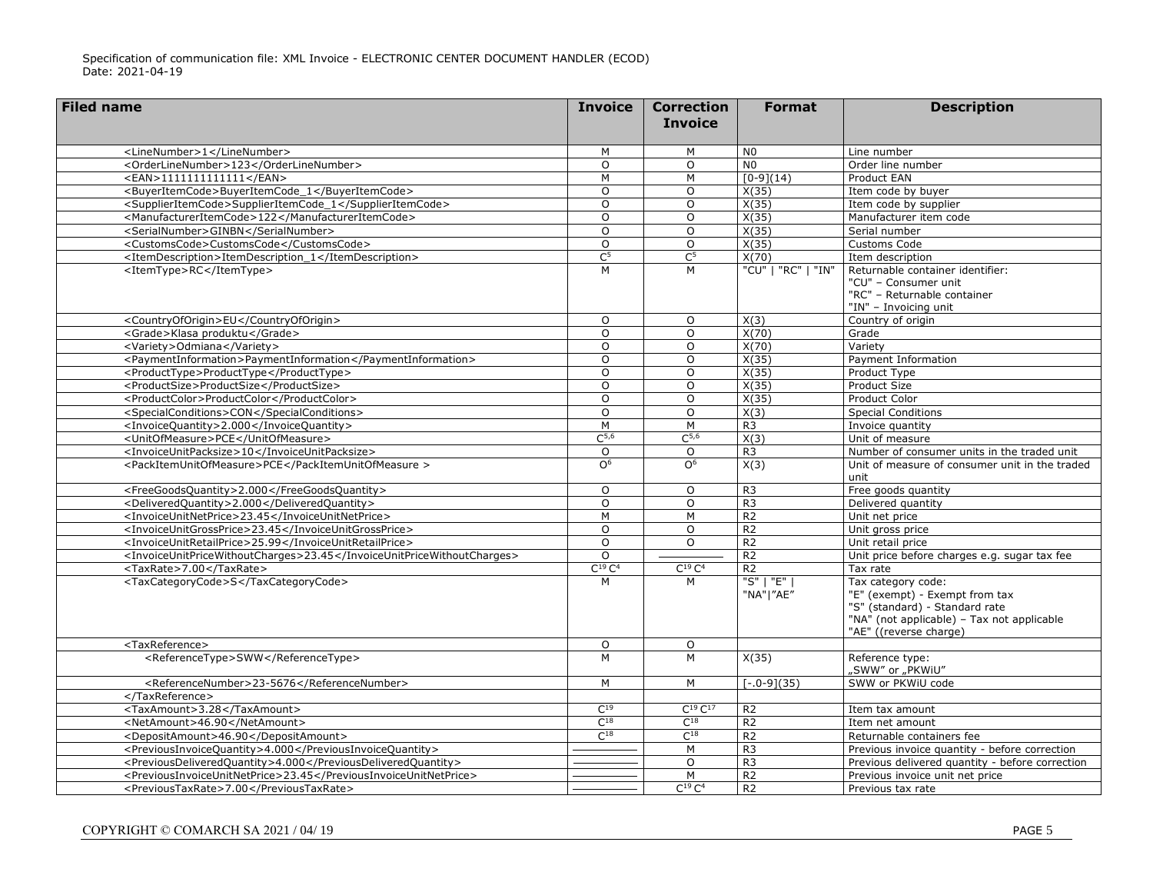| <b>Filed name</b>                                                      | <b>Invoice</b>   | <b>Correction</b><br><b>Invoice</b> | <b>Format</b>            | <b>Description</b>                                                                                                                                             |
|------------------------------------------------------------------------|------------------|-------------------------------------|--------------------------|----------------------------------------------------------------------------------------------------------------------------------------------------------------|
| <linenumber>1</linenumber>                                             | M                | M                                   | N <sub>0</sub>           | Line number                                                                                                                                                    |
| <orderlinenumber>123</orderlinenumber>                                 | O                | $\circ$                             | N <sub>0</sub>           | Order line number                                                                                                                                              |
| $<$ EAN>1111111111111                                                  | M                | M                                   | $[0-9](14)$              | Product EAN                                                                                                                                                    |
| <buyeritemcode>BuyerItemCode_1</buyeritemcode>                         | O                | O                                   | X(35)                    | Item code by buyer                                                                                                                                             |
| <supplieritemcode>SupplierItemCode_1</supplieritemcode>                | $\Omega$         | $\Omega$                            | X(35)                    | Item code by supplier                                                                                                                                          |
| <manufactureritemcode>122</manufactureritemcode>                       | O                | $\circ$                             | X(35)                    | Manufacturer item code                                                                                                                                         |
| <serialnumber>GINBN</serialnumber>                                     | $\Omega$         | $\circ$                             | X(35)                    | Serial number                                                                                                                                                  |
| <customscode>CustomsCode</customscode>                                 | O                | $\circ$                             | X(35)                    | Customs Code                                                                                                                                                   |
| <itemdescription>ItemDescription 1</itemdescription>                   | $\overline{C^5}$ | $\overline{C^5}$                    | X(70)                    | Item description                                                                                                                                               |
| <itemtype>RC</itemtype>                                                | M                | M                                   | "CU"   "RC"   "IN"       | Returnable container identifier:<br>"CU" - Consumer unit<br>"RC" - Returnable container<br>"IN" - Invoicing unit                                               |
| <countryoforigin>EU</countryoforigin>                                  | $\circ$          | $\circ$                             | X(3)                     | Country of origin                                                                                                                                              |
| <grade>Klasa produktu</grade>                                          | O                | $\circ$                             | X(70)                    | Grade                                                                                                                                                          |
| <variety>Odmiana</variety>                                             | O                | $\circ$                             | X(70)                    | Variety                                                                                                                                                        |
| <paymentinformation>PaymentInformation</paymentinformation>            | O                | $\circ$                             | X(35)                    | Payment Information                                                                                                                                            |
| <producttype>ProductType</producttype>                                 | $\circ$          | O                                   | X(35)                    | Product Type                                                                                                                                                   |
| <productsize>ProductSize</productsize>                                 | $\Omega$         | $\Omega$                            | X(35)                    | Product Size                                                                                                                                                   |
| <productcolor>ProductColor</productcolor>                              | O                | $\circ$                             | X(35)                    | Product Color                                                                                                                                                  |
| <specialconditions>CON</specialconditions>                             | $\Omega$         | $\circ$                             | X(3)                     | <b>Special Conditions</b>                                                                                                                                      |
| <invoicequantity>2.000</invoicequantity>                               | M                | M                                   | R <sub>3</sub>           | Invoice quantity                                                                                                                                               |
| <unitofmeasure>PCE</unitofmeasure>                                     | $C^{5,6}$        | C <sup>5,6</sup>                    | X(3)                     | Unit of measure                                                                                                                                                |
| <invoiceunitpacksize>10</invoiceunitpacksize>                          | O                | $\circ$                             | R <sub>3</sub>           | Number of consumer units in the traded unit                                                                                                                    |
| <packitemunitofmeasure>PCE</packitemunitofmeasure>                     | $\Omega^6$       | O <sup>6</sup>                      | X(3)                     | Unit of measure of consumer unit in the traded<br>unit                                                                                                         |
| <freegoodsquantity>2.000</freegoodsquantity>                           | O                | $\circ$                             | R <sub>3</sub>           | Free goods quantity                                                                                                                                            |
| <deliveredquantity>2.000</deliveredquantity>                           | $\Omega$         | $\Omega$                            | R <sub>3</sub>           | Delivered quantity                                                                                                                                             |
| <invoiceunitnetprice>23.45</invoiceunitnetprice>                       | M                | M                                   | R <sub>2</sub>           | Unit net price                                                                                                                                                 |
| <invoiceunitgrossprice>23.45</invoiceunitgrossprice>                   | $\Omega$         | $\Omega$                            | R <sub>2</sub>           | Unit gross price                                                                                                                                               |
| <invoiceunitretailprice>25.99</invoiceunitretailprice>                 | $\circ$          | $\Omega$                            | R <sub>2</sub>           | Unit retail price                                                                                                                                              |
| <invoiceunitpricewithoutcharges>23.45</invoiceunitpricewithoutcharges> | $\Omega$         |                                     | R <sub>2</sub>           | Unit price before charges e.g. sugar tax fee                                                                                                                   |
| <taxrate>7.00</taxrate>                                                | $C^{19}C^4$      | $C^{19}C^4$                         | R <sub>2</sub>           | Tax rate                                                                                                                                                       |
| <taxcategorycode>S</taxcategorycode>                                   | М                | M                                   | "S"   "E"  <br>"NA" "AE" | Tax category code:<br>"E" (exempt) - Exempt from tax<br>"S" (standard) - Standard rate<br>"NA" (not applicable) - Tax not applicable<br>"AE" ((reverse charge) |
| <taxreference></taxreference>                                          | $\circ$          | $\circ$                             |                          |                                                                                                                                                                |
| <referencetype>SWW</referencetype>                                     | M                | M                                   | X(35)                    | Reference type:<br>"SWW" or "PKWiU"                                                                                                                            |
| <referencenumber>23-5676</referencenumber>                             | M                | M                                   | $[-.0-9](35)$            | SWW or PKWiU code                                                                                                                                              |
|                                                                        |                  |                                     |                          |                                                                                                                                                                |
| <taxamount>3.28</taxamount>                                            | $C^{19}$         | $C^{19}C^{17}$                      | R <sub>2</sub>           | Item tax amount                                                                                                                                                |
| <netamount>46.90</netamount>                                           | $C^{18}$         | $C^{18}$                            | R <sub>2</sub>           | Item net amount                                                                                                                                                |
| <depositamount>46.90</depositamount>                                   | $C^{18}$         | $C^{18}$                            | R <sub>2</sub>           | Returnable containers fee                                                                                                                                      |
| <previousinvoicequantity>4.000</previousinvoicequantity>               |                  | M                                   | R <sub>3</sub>           | Previous invoice quantity - before correction                                                                                                                  |
| <previousdeliveredquantity>4.000</previousdeliveredquantity>           |                  | $\circ$                             | R <sub>3</sub>           | Previous delivered quantity - before correction                                                                                                                |
| <previousinvoiceunitnetprice>23.45</previousinvoiceunitnetprice>       |                  | M                                   | R <sub>2</sub>           | Previous invoice unit net price                                                                                                                                |
| <previoustaxrate>7.00</previoustaxrate>                                |                  | $C^{19}C^4$                         | R <sub>2</sub>           | Previous tax rate                                                                                                                                              |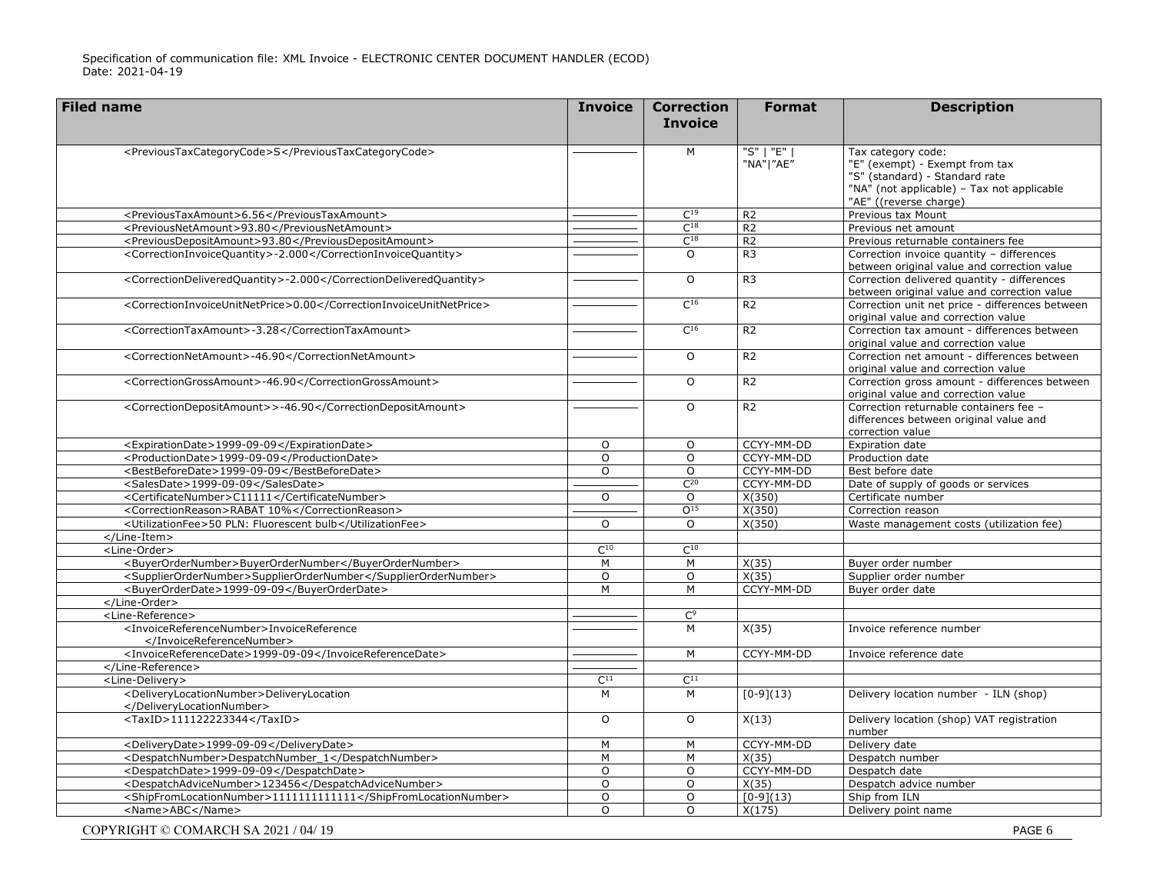| <b>Filed name</b>                                                      | <b>Invoice</b> | <b>Correction</b><br><b>Invoice</b> | <b>Format</b>                                              | <b>Description</b>                                                                                                                                             |
|------------------------------------------------------------------------|----------------|-------------------------------------|------------------------------------------------------------|----------------------------------------------------------------------------------------------------------------------------------------------------------------|
|                                                                        |                |                                     |                                                            |                                                                                                                                                                |
| <previoustaxcategorycode>S</previoustaxcategorycode>                   |                | M                                   | $\overline{\mathcal{S}''$   $\mathcal{F}''$  <br>"NA" "AE" | Tax category code:<br>"E" (exempt) - Exempt from tax<br>"S" (standard) - Standard rate<br>"NA" (not applicable) - Tax not applicable<br>"AE" ((reverse charge) |
| <previoustaxamount>6.56</previoustaxamount>                            |                | $C^{19}$                            | R <sub>2</sub>                                             | Previous tax Mount                                                                                                                                             |
| <previousnetamount>93.80</previousnetamount>                           |                | $C^{18}$                            | R <sub>2</sub>                                             | Previous net amount                                                                                                                                            |
| <previousdepositamount>93.80</previousdepositamount>                   |                | $C^{18}$                            | R <sub>2</sub>                                             | Previous returnable containers fee                                                                                                                             |
| <correctioninvoicequantity>-2.000</correctioninvoicequantity>          |                | $\Omega$                            | R <sub>3</sub>                                             | Correction invoice quantity - differences<br>between original value and correction value                                                                       |
| <correctiondeliveredquantity>-2.000</correctiondeliveredquantity>      |                | $\circ$                             | R <sub>3</sub>                                             | Correction delivered quantity - differences<br>between original value and correction value                                                                     |
| <correctioninvoiceunitnetprice>0.00</correctioninvoiceunitnetprice>    |                | $C^{16}$                            | R <sub>2</sub>                                             | Correction unit net price - differences between<br>original value and correction value                                                                         |
| <correctiontaxamount>-3.28</correctiontaxamount>                       |                | $C^{16}$                            | R <sub>2</sub>                                             | Correction tax amount - differences between<br>original value and correction value                                                                             |
| <correctionnetamount>-46.90</correctionnetamount>                      |                | $\circ$                             | R <sub>2</sub>                                             | Correction net amount - differences between<br>original value and correction value                                                                             |
| <correctiongrossamount>-46.90</correctiongrossamount>                  |                | $\Omega$                            | R <sub>2</sub>                                             | Correction gross amount - differences between<br>original value and correction value                                                                           |
| <correctiondepositamount>&gt;-46.90</correctiondepositamount>          |                | $\circ$                             | R <sub>2</sub>                                             | Correction returnable containers fee -<br>differences between original value and<br>correction value                                                           |
| <expirationdate>1999-09-09</expirationdate>                            | O              | $\circ$                             | CCYY-MM-DD                                                 | Expiration date                                                                                                                                                |
| <productiondate>1999-09-09</productiondate>                            | $\Omega$       | $\Omega$                            | CCYY-MM-DD                                                 | Production date                                                                                                                                                |
| <bestbeforedate>1999-09-09</bestbeforedate>                            | $\circ$        | $\circ$                             | CCYY-MM-DD                                                 | Best before date                                                                                                                                               |
| <salesdate>1999-09-09</salesdate>                                      |                | $C^{20}$                            | CCYY-MM-DD                                                 | Date of supply of goods or services                                                                                                                            |
| <certificatenumber>C11111</certificatenumber>                          | $\circ$        | $\Omega$                            | X(350)                                                     | Certificate number                                                                                                                                             |
| <correctionreason>RABAT 10%</correctionreason>                         |                | O <sup>15</sup>                     | $\overline{X(350)}$                                        | Correction reason                                                                                                                                              |
| <utilizationfee>50 PLN: Fluorescent bulb</utilizationfee>              | O              | $\Omega$                            | X(350)                                                     | Waste management costs (utilization fee)                                                                                                                       |
|                                                                        |                |                                     |                                                            |                                                                                                                                                                |
| <line-order></line-order>                                              | $C^{10}$       | $C^{10}$                            |                                                            |                                                                                                                                                                |
| <buyerordernumber>BuyerOrderNumber</buyerordernumber>                  | M              | M                                   | X(35)                                                      | Buyer order number                                                                                                                                             |
| <supplierordernumber>SupplierOrderNumber</supplierordernumber>         | $\overline{0}$ | $\overline{0}$                      | X(35)                                                      | Supplier order number                                                                                                                                          |
| <buyerorderdate>1999-09-09</buyerorderdate>                            | M              | $\overline{M}$                      | CCYY-MM-DD                                                 | Buyer order date                                                                                                                                               |
|                                                                        |                |                                     |                                                            |                                                                                                                                                                |
| <line-reference></line-reference>                                      |                | $\mathsf{C}^9$                      |                                                            |                                                                                                                                                                |
| <invoicereferencenumber>InvoiceReference<br/></invoicereferencenumber> |                | M                                   | X(35)                                                      | Invoice reference number                                                                                                                                       |
| <invoicereferencedate>1999-09-09</invoicereferencedate>                |                | M                                   | CCYY-MM-DD                                                 | Invoice reference date                                                                                                                                         |
|                                                                        |                |                                     |                                                            |                                                                                                                                                                |
| <line-delivery></line-delivery>                                        | $C^{11}$       | $C^{11}$                            |                                                            |                                                                                                                                                                |
| <deliverylocationnumber>DeliveryLocation<br/></deliverylocationnumber> | M              | M                                   | $[0-9](13)$                                                | Delivery location number - ILN (shop)                                                                                                                          |
| <taxid>111122223344</taxid>                                            | $\Omega$       | $\Omega$                            | X(13)                                                      | Delivery location (shop) VAT registration<br>number                                                                                                            |
| <deliverydate>1999-09-09</deliverydate>                                | M              | M                                   | CCYY-MM-DD                                                 | Delivery date                                                                                                                                                  |
| <despatchnumber>DespatchNumber_1</despatchnumber>                      | M              | M                                   | X(35)                                                      | Despatch number                                                                                                                                                |
| <despatchdate>1999-09-09</despatchdate>                                | O              | $\circ$                             | CCYY-MM-DD                                                 | Despatch date                                                                                                                                                  |
| <despatchadvicenumber>123456</despatchadvicenumber>                    | $\overline{0}$ | $\overline{0}$                      | X(35)                                                      | Despatch advice number                                                                                                                                         |
| <shipfromlocationnumber>11111111111111</shipfromlocationnumber>        | $\circ$        | $\circ$                             | $[0-9](13)$                                                | Ship from ILN                                                                                                                                                  |
| <name>ABC</name>                                                       | $\Omega$       | $\Omega$                            | X(175)                                                     | Delivery point name                                                                                                                                            |
| COPYRIGHT © COMARCH SA 2021 / 04/19                                    |                |                                     |                                                            | PAGE 6                                                                                                                                                         |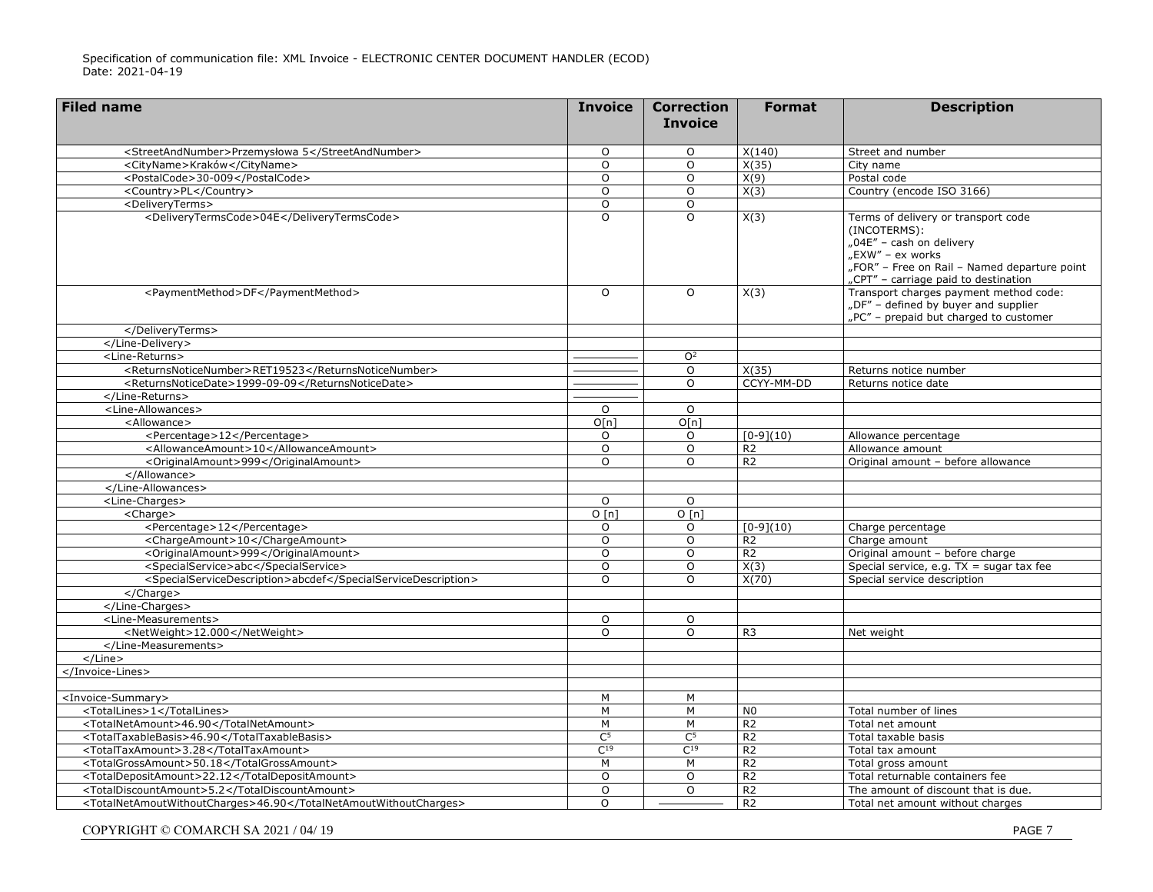| <b>Filed name</b>                                                | <b>Invoice</b> | <b>Correction</b><br><b>Invoice</b> | <b>Format</b>  | <b>Description</b>                                                                                                                                                                          |
|------------------------------------------------------------------|----------------|-------------------------------------|----------------|---------------------------------------------------------------------------------------------------------------------------------------------------------------------------------------------|
|                                                                  |                |                                     |                |                                                                                                                                                                                             |
| <streetandnumber>Przemysłowa 5</streetandnumber>                 | $\Omega$       | 0                                   | X(140)         | Street and number                                                                                                                                                                           |
| <cityname>Kraków</cityname>                                      | $\circ$        | $\circ$                             | X(35)          | City name                                                                                                                                                                                   |
| <postalcode>30-009</postalcode>                                  | $\circ$        | $\circ$                             | X(9)           | Postal code                                                                                                                                                                                 |
| <country>PL</country>                                            | $\circ$        | $\circ$                             | X(3)           | Country (encode ISO 3166)                                                                                                                                                                   |
| <deliveryterms></deliveryterms>                                  | $\circ$        | $\circ$                             |                |                                                                                                                                                                                             |
| <deliverytermscode>04E</deliverytermscode>                       | $\overline{0}$ | $\Omega$                            | X(3)           | Terms of delivery or transport code<br>(INCOTERMS):<br>"04E" - cash on delivery<br>"EXW" – ex works<br>"FOR" - Free on Rail - Named departure point<br>"CPT" - carriage paid to destination |
| <paymentmethod>DF</paymentmethod>                                | $\Omega$       | $\circ$                             | X(3)           | Transport charges payment method code:<br>"DF" - defined by buyer and supplier<br>"PC" - prepaid but charged to customer                                                                    |
|                                                                  |                |                                     |                |                                                                                                                                                                                             |
|                                                                  |                |                                     |                |                                                                                                                                                                                             |
| <line-returns></line-returns>                                    |                | O <sup>2</sup>                      |                |                                                                                                                                                                                             |
| <returnsnoticenumber>RET19523</returnsnoticenumber>              |                | $\circ$                             | X(35)          | Returns notice number                                                                                                                                                                       |
| <returnsnoticedate>1999-09-09</returnsnoticedate>                |                | $\Omega$                            | CCYY-MM-DD     | Returns notice date                                                                                                                                                                         |
|                                                                  |                |                                     |                |                                                                                                                                                                                             |
| <line-allowances></line-allowances>                              | $\circ$        | $\circ$                             |                |                                                                                                                                                                                             |
| <allowance></allowance>                                          | O[n]           | O[n]                                |                |                                                                                                                                                                                             |
| <percentage>12</percentage>                                      | $\circ$        | O                                   | $[0-9](10)$    | Allowance percentage                                                                                                                                                                        |
| <allowanceamount>10</allowanceamount>                            | $\circ$        | $\circ$                             | R <sub>2</sub> | Allowance amount                                                                                                                                                                            |
| <originalamount>999</originalamount>                             | $\Omega$       | $\Omega$                            | R <sub>2</sub> | Original amount - before allowance                                                                                                                                                          |
|                                                                  |                |                                     |                |                                                                                                                                                                                             |
|                                                                  |                |                                     |                |                                                                                                                                                                                             |
| <line-charges></line-charges>                                    | $\circ$        | $\circ$                             |                |                                                                                                                                                                                             |
| <charge></charge>                                                | O[n]           | O[n]                                |                |                                                                                                                                                                                             |
| <percentage>12</percentage>                                      | $\Omega$       | $\circ$                             | $[0-9](10)$    | Charge percentage                                                                                                                                                                           |
| <chargeamount>10</chargeamount>                                  | $\Omega$       | $\Omega$                            | R <sub>2</sub> | Charge amount                                                                                                                                                                               |
| <originalamount>999</originalamount>                             | $\Omega$       | $\Omega$                            | R <sub>2</sub> | Original amount - before charge                                                                                                                                                             |
| <specialservice>abc</specialservice>                             | $\Omega$       | $\Omega$                            | X(3)           | Special service, e.g. $TX = sugar$ tax fee                                                                                                                                                  |
| <specialservicedescription>abcdef</specialservicedescription>    | $\Omega$       | $\Omega$                            | X(70)          | Special service description                                                                                                                                                                 |
| $\langle$ /Charge>                                               |                |                                     |                |                                                                                                                                                                                             |
|                                                                  |                |                                     |                |                                                                                                                                                                                             |
| <line-measurements></line-measurements>                          | $\circ$        | $\circ$                             |                |                                                                                                                                                                                             |
| <netweight>12.000</netweight>                                    | $\circ$        | $\Omega$                            | R <sub>3</sub> | Net weight                                                                                                                                                                                  |
|                                                                  |                |                                     |                |                                                                                                                                                                                             |
| $<$ /Line $>$                                                    |                |                                     |                |                                                                                                                                                                                             |
|                                                                  |                |                                     |                |                                                                                                                                                                                             |
|                                                                  |                |                                     |                |                                                                                                                                                                                             |
| <invoice-summary></invoice-summary>                              | M              | м                                   |                |                                                                                                                                                                                             |
| <totallines>1</totallines>                                       | М              | M                                   | N <sub>0</sub> | Total number of lines                                                                                                                                                                       |
| <totalnetamount>46.90</totalnetamount>                           | $\overline{M}$ | $\overline{M}$                      | R <sub>2</sub> | Total net amount                                                                                                                                                                            |
| <totaltaxablebasis>46.90</totaltaxablebasis>                     | C <sup>5</sup> | C <sup>5</sup>                      | R <sub>2</sub> | Total taxable basis                                                                                                                                                                         |
| <totaltaxamount>3.28</totaltaxamount>                            | $C^{19}$       | $C^{19}$                            | R <sub>2</sub> | Total tax amount                                                                                                                                                                            |
| <totalgrossamount>50.18</totalgrossamount>                       | M              | M                                   | R <sub>2</sub> | Total gross amount                                                                                                                                                                          |
| <totaldepositamount>22.12</totaldepositamount>                   | $\Omega$       | $\Omega$                            | R <sub>2</sub> | Total returnable containers fee                                                                                                                                                             |
| <totaldiscountamount>5.2</totaldiscountamount>                   | $\Omega$       | $\Omega$                            | R <sub>2</sub> | The amount of discount that is due.                                                                                                                                                         |
| <totalnetamoutwithoutcharges>46.90</totalnetamoutwithoutcharges> | $\Omega$       |                                     | R <sub>2</sub> | Total net amount without charges                                                                                                                                                            |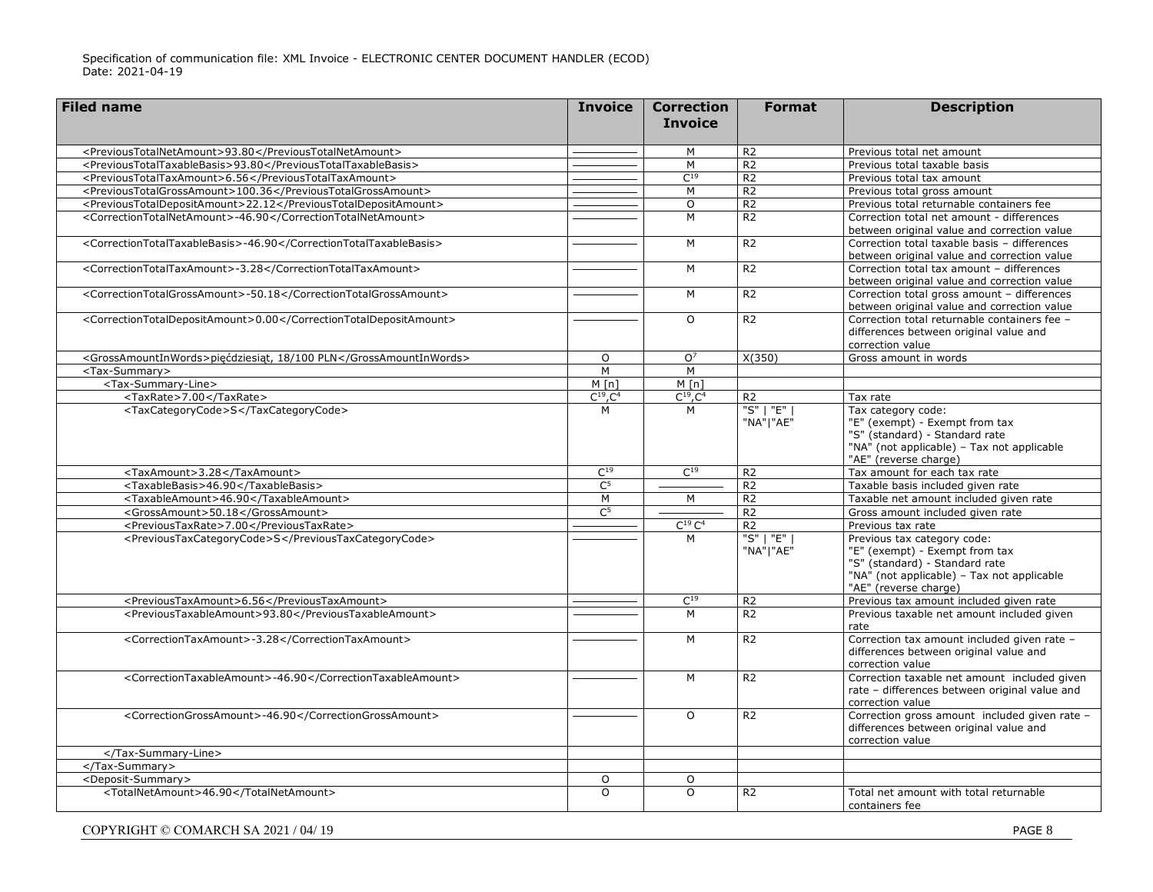| <b>Filed name</b>                                                 | <b>Invoice</b>   | <b>Correction</b><br><b>Invoice</b> | <b>Format</b>            | <b>Description</b>                                                                                                                                                     |
|-------------------------------------------------------------------|------------------|-------------------------------------|--------------------------|------------------------------------------------------------------------------------------------------------------------------------------------------------------------|
| <previoustotalnetamount>93.80</previoustotalnetamount>            |                  | M                                   | $\overline{R2}$          | Previous total net amount                                                                                                                                              |
| <previoustotaltaxablebasis>93.80</previoustotaltaxablebasis>      |                  | M                                   | $\overline{R2}$          | Previous total taxable basis                                                                                                                                           |
| <previoustotaltaxamount>6.56</previoustotaltaxamount>             |                  | $C^{19}$                            | R <sub>2</sub>           | Previous total tax amount                                                                                                                                              |
| <previoustotalgrossamount>100.36</previoustotalgrossamount>       |                  | M                                   | $\overline{R2}$          | Previous total gross amount                                                                                                                                            |
| <previoustotaldepositamount>22.12</previoustotaldepositamount>    |                  | $\circ$                             | R <sub>2</sub>           | Previous total returnable containers fee                                                                                                                               |
| <correctiontotalnetamount>-46.90</correctiontotalnetamount>       |                  | $\overline{M}$                      | $\overline{R2}$          | Correction total net amount - differences<br>between original value and correction value                                                                               |
| <correctiontotaltaxablebasis>-46.90</correctiontotaltaxablebasis> |                  | M                                   | R <sub>2</sub>           | Correction total taxable basis - differences<br>between original value and correction value                                                                            |
| <correctiontotaltaxamount>-3.28</correctiontotaltaxamount>        |                  | M                                   | R <sub>2</sub>           | Correction total tax amount - differences<br>between original value and correction value                                                                               |
| <correctiontotalgrossamount>-50.18</correctiontotalgrossamount>   |                  | M                                   | R <sub>2</sub>           | Correction total gross amount - differences<br>between original value and correction value                                                                             |
| <correctiontotaldepositamount>0.00</correctiontotaldepositamount> |                  | $\Omega$                            | R <sub>2</sub>           | Correction total returnable containers fee -<br>differences between original value and<br>correction value                                                             |
| <grossamountinwords>pięćdziesiąt, 18/100 PLN</grossamountinwords> | $\Omega$         | O <sup>7</sup>                      | X(350)                   | Gross amount in words                                                                                                                                                  |
| <tax-summary></tax-summary>                                       | M                | M                                   |                          |                                                                                                                                                                        |
| <tax-summary-line></tax-summary-line>                             | M[n]             | M[n]                                |                          |                                                                                                                                                                        |
| <taxrate>7.00</taxrate>                                           | $C^{19}$ , $C^4$ | $C^{19}$ , $C^4$                    | R <sub>2</sub>           | Tax rate                                                                                                                                                               |
| <taxcategorycode>S</taxcategorycode>                              | M                | M                                   | "S"   "E"  <br>"NA" "AE" | Tax category code:<br>"E" (exempt) - Exempt from tax<br>"S" (standard) - Standard rate<br>"NA" (not applicable) - Tax not applicable<br>"AE" (reverse charge)          |
| <taxamount>3.28</taxamount>                                       | C <sup>19</sup>  | C <sup>19</sup>                     | R <sub>2</sub>           | Tax amount for each tax rate                                                                                                                                           |
| <taxablebasis>46.90</taxablebasis>                                | C <sup>5</sup>   |                                     | R <sub>2</sub>           | Taxable basis included given rate                                                                                                                                      |
| <taxableamount>46.90</taxableamount>                              | M                | M                                   | R <sub>2</sub>           | Taxable net amount included given rate                                                                                                                                 |
| <grossamount>50.18</grossamount>                                  | C <sup>5</sup>   |                                     | R <sub>2</sub>           | Gross amount included given rate                                                                                                                                       |
| <previoustaxrate>7.00</previoustaxrate>                           |                  | $C^{19}C^4$                         | R <sub>2</sub>           | Previous tax rate                                                                                                                                                      |
| <previoustaxcategorycode>S</previoustaxcategorycode>              |                  | M                                   | "S"   "E"  <br>"NA" "AE" | Previous tax category code:<br>"E" (exempt) - Exempt from tax<br>"S" (standard) - Standard rate<br>"NA" (not applicable) - Tax not applicable<br>"AE" (reverse charge) |
| <previoustaxamount>6.56</previoustaxamount>                       |                  | $C^{19}$                            | R <sub>2</sub>           | Previous tax amount included given rate                                                                                                                                |
| <previoustaxableamount>93.80</previoustaxableamount>              |                  | M                                   | R <sub>2</sub>           | Previous taxable net amount included given<br>rate                                                                                                                     |
| <correctiontaxamount>-3.28</correctiontaxamount>                  |                  | M                                   | R <sub>2</sub>           | Correction tax amount included given rate -<br>differences between original value and<br>correction value                                                              |
| <correctiontaxableamount>-46.90</correctiontaxableamount>         |                  | M                                   | R <sub>2</sub>           | Correction taxable net amount included given<br>rate - differences between original value and<br>correction value                                                      |
| <correctiongrossamount>-46.90</correctiongrossamount>             |                  | $\circ$                             | R <sub>2</sub>           | Correction gross amount included given rate -<br>differences between original value and<br>correction value                                                            |
|                                                                   |                  |                                     |                          |                                                                                                                                                                        |
|                                                                   |                  |                                     |                          |                                                                                                                                                                        |
| <deposit-summary></deposit-summary>                               | O                | $\circ$                             |                          |                                                                                                                                                                        |
| <totalnetamount>46.90</totalnetamount>                            | $\Omega$         | $\Omega$                            | R <sub>2</sub>           | Total net amount with total returnable<br>containers fee                                                                                                               |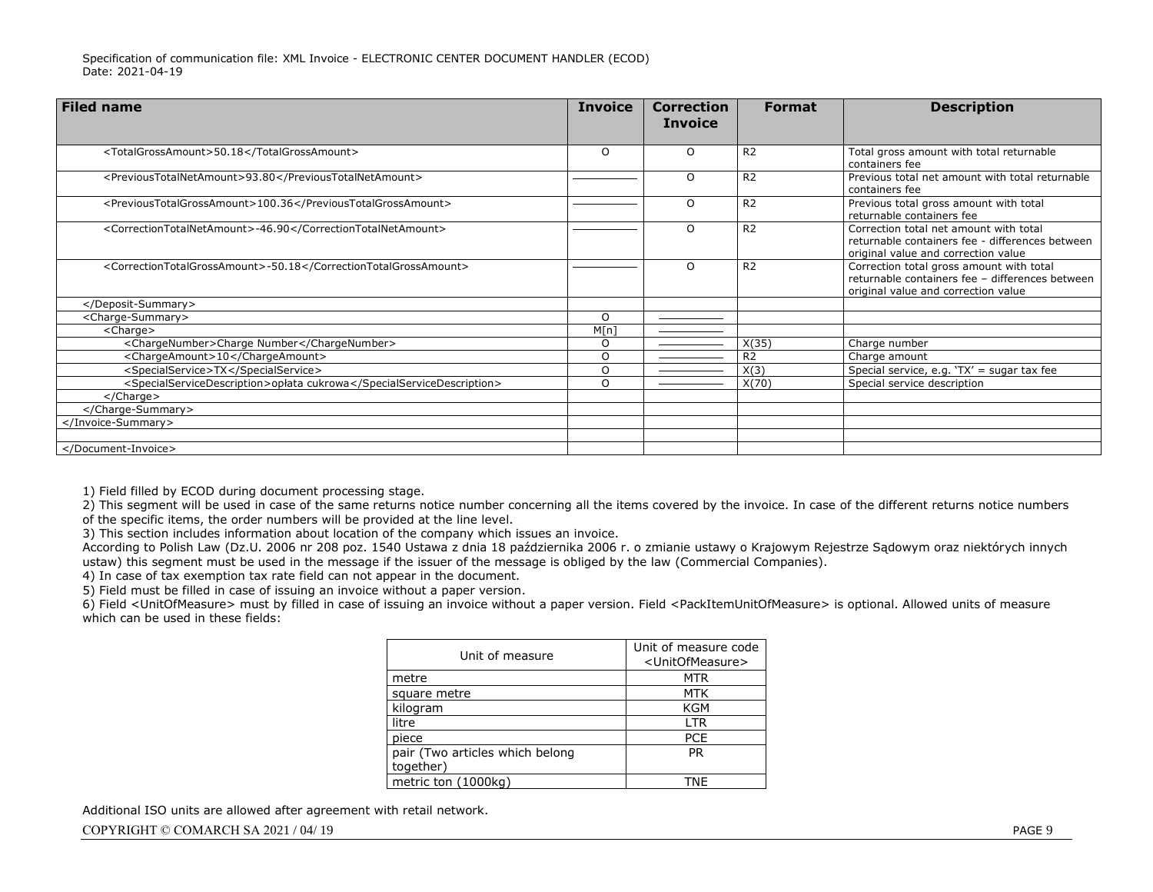| <b>Filed name</b>                                                     | <b>Invoice</b> | <b>Correction</b><br><b>Invoice</b> | <b>Format</b>  | <b>Description</b>                                                                                                                 |
|-----------------------------------------------------------------------|----------------|-------------------------------------|----------------|------------------------------------------------------------------------------------------------------------------------------------|
| <totalgrossamount>50.18</totalgrossamount>                            | $\Omega$       | O                                   | R <sub>2</sub> | Total gross amount with total returnable<br>containers fee                                                                         |
| <previoustotalnetamount>93.80</previoustotalnetamount>                |                | $\circ$                             | R <sub>2</sub> | Previous total net amount with total returnable<br>containers fee                                                                  |
| <previoustotalgrossamount>100.36</previoustotalgrossamount>           |                | O                                   | R <sub>2</sub> | Previous total gross amount with total<br>returnable containers fee                                                                |
| <correctiontotalnetamount>-46.90</correctiontotalnetamount>           |                | $\Omega$                            | R <sub>2</sub> | Correction total net amount with total<br>returnable containers fee - differences between<br>original value and correction value   |
| <correctiontotalgrossamount>-50.18</correctiontotalgrossamount>       |                | O                                   | R <sub>2</sub> | Correction total gross amount with total<br>returnable containers fee - differences between<br>original value and correction value |
|                                                                       |                |                                     |                |                                                                                                                                    |
| <charge-summary></charge-summary>                                     | $\Omega$       |                                     |                |                                                                                                                                    |
| <charge></charge>                                                     | M[n]           |                                     |                |                                                                                                                                    |
| <chargenumber>Charge Number</chargenumber>                            | O              |                                     | X(35)          | Charge number                                                                                                                      |
| <chargeamount>10</chargeamount>                                       | O              |                                     | R <sub>2</sub> | Charge amount                                                                                                                      |
| <specialservice>TX</specialservice>                                   | O              |                                     | X(3)           | Special service, e.g. 'TX' = sugar tax fee                                                                                         |
| <specialservicedescription>opłata cukrowa</specialservicedescription> | $\Omega$       |                                     | X(70)          | Special service description                                                                                                        |
| $<$ /Charge $>$                                                       |                |                                     |                |                                                                                                                                    |
|                                                                       |                |                                     |                |                                                                                                                                    |
|                                                                       |                |                                     |                |                                                                                                                                    |
|                                                                       |                |                                     |                |                                                                                                                                    |
|                                                                       |                |                                     |                |                                                                                                                                    |

1) Field filled by ECOD during document processing stage.

2) This segment will be used in case of the same returns notice number concerning all the items covered by the invoice. In case of the different returns notice numbers of the specific items, the order numbers will be provided at the line level.

3) This section includes information about location of the company which issues an invoice.

According to Polish Law (Dz.U. 2006 nr 208 poz. 1540 Ustawa z dnia 18 października 2006 r. o zmianie ustawy o Krajowym Rejestrze Sądowym oraz niektórych innych ustaw) this segment must be used in the message if the issuer of the message is obliged by the law (Commercial Companies).

4) In case of tax exemption tax rate field can not appear in the document.

5) Field must be filled in case of issuing an invoice without a paper version.

6) Field <UnitOfMeasure> must by filled in case of issuing an invoice without a paper version. Field <PackItemUnitOfMeasure> is optional. Allowed units of measure which can be used in these fields:

| Unit of measure                 | Unit of measure code<br><unitofmeasure></unitofmeasure> |
|---------------------------------|---------------------------------------------------------|
| metre                           | MTR                                                     |
| square metre                    | <b>MTK</b>                                              |
| kilogram                        | <b>KGM</b>                                              |
| litre                           | LTR                                                     |
| piece                           | <b>PCE</b>                                              |
| pair (Two articles which belong | <b>PR</b>                                               |
| together)                       |                                                         |
| metric ton (1000kg)             | TNF                                                     |

Additional ISO units are allowed after agreement with retail network.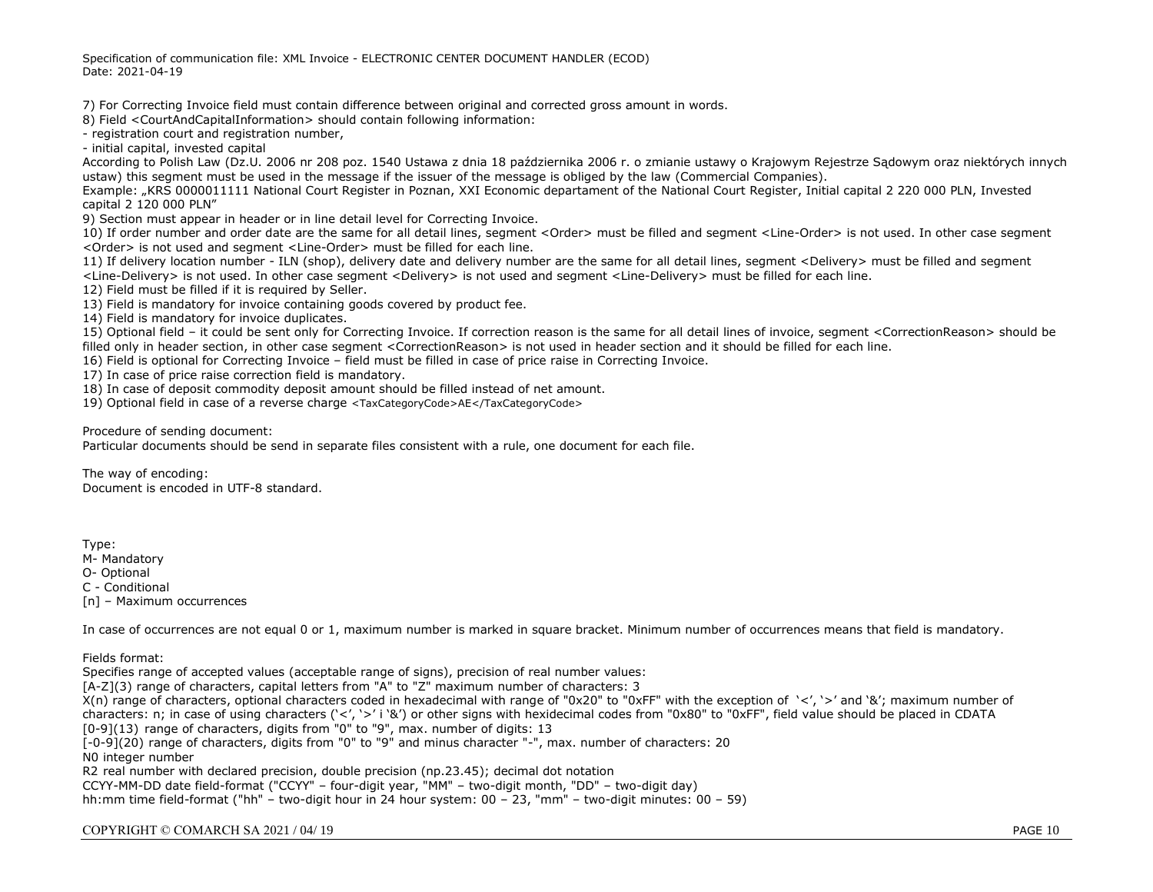Specification of communication file: XML Invoice - ELECTRONIC CENTER DOCUMENT HANDLER (ECOD) Date: 2021-04-19

7) For Correcting Invoice field must contain difference between original and corrected gross amount in words.

8) Field <CourtAndCapitalInformation> should contain following information:

- registration court and registration number,

- initial capital, invested capital

According to Polish Law (Dz.U. 2006 nr 208 poz. 1540 Ustawa z dnia 18 października 2006 r. o zmianie ustawy o Krajowym Rejestrze Sądowym oraz niektórych innych ustaw) this segment must be used in the message if the issuer of the message is obliged by the law (Commercial Companies).

Example: "KRS 0000011111 National Court Register in Poznan, XXI Economic departament of the National Court Register, Initial capital 2 220 000 PLN, Invested capital 2 120 000 PLN"

9) Section must appear in header or in line detail level for Correcting Invoice.

10) If order number and order date are the same for all detail lines, segment <Order> must be filled and segment <Line-Order> is not used. In other case segment <Order> is not used and segment <Line-Order> must be filled for each line.

11) If delivery location number - ILN (shop), delivery date and delivery number are the same for all detail lines, segment <Delivery> must be filled and segment <Line-Delivery> is not used. In other case segment <Delivery> is not used and segment <Line-Delivery> must be filled for each line.

12) Field must be filled if it is required by Seller.

13) Field is mandatory for invoice containing goods covered by product fee.

14) Field is mandatory for invoice duplicates.

15) Optional field – it could be sent only for Correcting Invoice. If correction reason is the same for all detail lines of invoice, segment <CorrectionReason> should be filled only in header section, in other case segment <CorrectionReason> is not used in header section and it should be filled for each line.

16) Field is optional for Correcting Invoice – field must be filled in case of price raise in Correcting Invoice.

17) In case of price raise correction field is mandatory.

18) In case of deposit commodity deposit amount should be filled instead of net amount.

19) Optional field in case of a reverse charge <TaxCategoryCode>AE</TaxCategoryCode>

Procedure of sending document:

Particular documents should be send in separate files consistent with a rule, one document for each file.

The way of encoding: Document is encoded in UTF-8 standard.

Type:

M- Mandatory

O- Optional

C - Conditional

[n] – Maximum occurrences

In case of occurrences are not equal 0 or 1, maximum number is marked in square bracket. Minimum number of occurrences means that field is mandatory.

Fields format:

Specifies range of accepted values (acceptable range of signs), precision of real number values: [A-Z](3) range of characters, capital letters from "A" to "Z" maximum number of characters: 3  $X(n)$  range of characters, optional characters coded in hexadecimal with range of "0x20" to "0xFF" with the exception of '<', '>' and '&'; maximum number of characters: n; in case of using characters ('<', '>' i '&') or other signs with hexidecimal codes from "0x80" to "0xFF", field value should be placed in CDATA [0-9](13) range of characters, digits from "0" to "9", max. number of digits: 13 [-0-9](20) range of characters, digits from "0" to "9" and minus character "-", max. number of characters: 20 N0 integer number R2 real number with declared precision, double precision (np.23.45); decimal dot notation CCYY-MM-DD date field-format ("CCYY" – four-digit year, "MM" – two-digit month, "DD" – two-digit day) hh:mm time field-format ("hh" – two-digit hour in 24 hour system: 00 – 23, "mm" – two-digit minutes: 00 – 59)